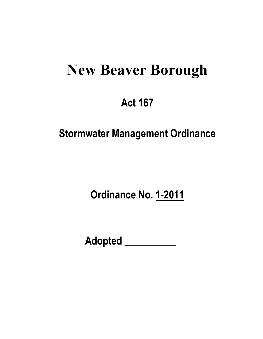# **New Beaver Borough**

# **Act 167**

# **Stormwater Management Ordinance**

**Ordinance No. 1-2011** 

 **Adopted \_\_\_\_\_\_\_\_\_\_**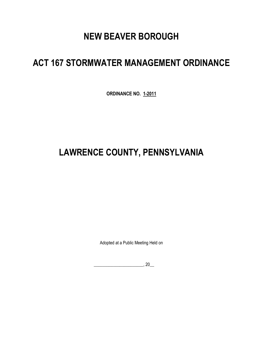# **NEW BEAVER BOROUGH**

# **ACT 167 STORMWATER MANAGEMENT ORDINANCE**

**ORDINANCE NO. 1-2011**

# **LAWRENCE COUNTY, PENNSYLVANIA**

Adopted at a Public Meeting Held on

 $\overline{\phantom{a}}$ , 20 $\overline{\phantom{a}}$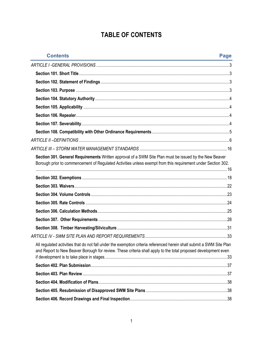# **TABLE OF CONTENTS**

| <b>Contents</b>                                                                                                                                                                                                                         | Page |
|-----------------------------------------------------------------------------------------------------------------------------------------------------------------------------------------------------------------------------------------|------|
|                                                                                                                                                                                                                                         |      |
|                                                                                                                                                                                                                                         |      |
|                                                                                                                                                                                                                                         |      |
|                                                                                                                                                                                                                                         |      |
|                                                                                                                                                                                                                                         |      |
|                                                                                                                                                                                                                                         |      |
|                                                                                                                                                                                                                                         |      |
|                                                                                                                                                                                                                                         |      |
|                                                                                                                                                                                                                                         |      |
|                                                                                                                                                                                                                                         |      |
|                                                                                                                                                                                                                                         |      |
| Section 301. General Requirements Written approval of a SWM Site Plan must be issued by the New Beaver<br>Borough prior to commencement of Regulated Activities unless exempt from this requirement under Section 302.                  |      |
|                                                                                                                                                                                                                                         |      |
|                                                                                                                                                                                                                                         |      |
|                                                                                                                                                                                                                                         |      |
|                                                                                                                                                                                                                                         |      |
|                                                                                                                                                                                                                                         |      |
|                                                                                                                                                                                                                                         |      |
|                                                                                                                                                                                                                                         |      |
|                                                                                                                                                                                                                                         |      |
| All regulated activities that do not fall under the exemption criteria referenced herein shall submit a SWM Site Plan<br>and Report to New Beaver Borough for review. These criteria shall apply to the total proposed development even |      |
|                                                                                                                                                                                                                                         |      |
|                                                                                                                                                                                                                                         |      |
|                                                                                                                                                                                                                                         |      |
|                                                                                                                                                                                                                                         |      |
|                                                                                                                                                                                                                                         |      |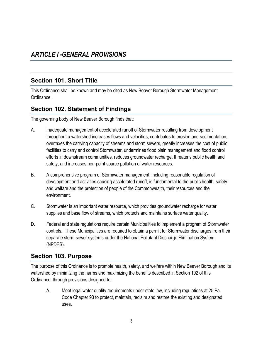### <span id="page-4-1"></span><span id="page-4-0"></span>**Section 101. Short Title**

This Ordinance shall be known and may be cited as New Beaver Borough Stormwater Management Ordinance.

#### <span id="page-4-2"></span>**Section 102. Statement of Findings**

The governing body of New Beaver Borough finds that:

- A. Inadequate management of accelerated runoff of Stormwater resulting from development throughout a watershed increases flows and velocities, contributes to erosion and sedimentation, overtaxes the carrying capacity of streams and storm sewers, greatly increases the cost of public facilities to carry and control Stormwater, undermines flood plain management and flood control efforts in downstream communities, reduces groundwater recharge, threatens public health and safety, and increases non-point source pollution of water resources.
- B. A comprehensive program of Stormwater management, including reasonable regulation of development and activities causing accelerated runoff, is fundamental to the public health, safety and welfare and the protection of people of the Commonwealth, their resources and the environment.
- C. Stormwater is an important water resource, which provides groundwater recharge for water supplies and base flow of streams, which protects and maintains surface water quality.
- D. Federal and state regulations require certain Municipalities to implement a program of Stormwater controls. These Municipalities are required to obtain a permit for Stormwater discharges from their separate storm sewer systems under the National Pollutant Discharge Elimination System (NPDES).

### <span id="page-4-3"></span>**Section 103. Purpose**

The purpose of this Ordinance is to promote health, safety, and welfare within New Beaver Borough and its watershed by minimizing the harms and maximizing the benefits described in Section 102 of this Ordinance, through provisions designed to:

A. Meet legal water quality requirements under state law, including regulations at 25 Pa. Code Chapter 93 to protect, maintain, reclaim and restore the existing and designated uses.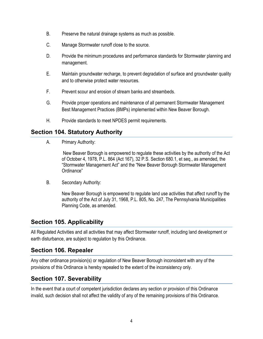- B. Preserve the natural drainage systems as much as possible.
- C. Manage Stormwater runoff close to the source.
- D. Provide the minimum procedures and performance standards for Stormwater planning and management.
- E. Maintain groundwater recharge, to prevent degradation of surface and groundwater quality and to otherwise protect water resources.
- F. Prevent scour and erosion of stream banks and streambeds.
- G. Provide proper operations and maintenance of all permanent Stormwater Management Best Management Practices (BMPs) implemented within New Beaver Borough.
- H. Provide standards to meet NPDES permit requirements.

#### <span id="page-5-0"></span>**Section 104. Statutory Authority**

A. Primary Authority:

New Beaver Borough is empowered to regulate these activities by the authority of the Act of October 4, 1978, P.L. 864 (Act 167), 32 P.S. Section 680.1, et seq., as amended, the "Stormwater Management Act" and the "New Beaver Borough Stormwater Management Ordinance"

B. Secondary Authority:

New Beaver Borough is empowered to regulate land use activities that affect runoff by the authority of the Act of July 31, 1968, P.L. 805, No. 247, The Pennsylvania Municipalities Planning Code, as amended.

# <span id="page-5-1"></span>**Section 105. Applicability**

All Regulated Activities and all activities that may affect Stormwater runoff, including land development or earth disturbance, are subject to regulation by this Ordinance.

### <span id="page-5-2"></span>**Section 106. Repealer**

Any other ordinance provision(s) or regulation of New Beaver Borough inconsistent with any of the provisions of this Ordinance is hereby repealed to the extent of the inconsistency only.

### <span id="page-5-3"></span>**Section 107. Severability**

In the event that a court of competent jurisdiction declares any section or provision of this Ordinance invalid, such decision shall not affect the validity of any of the remaining provisions of this Ordinance.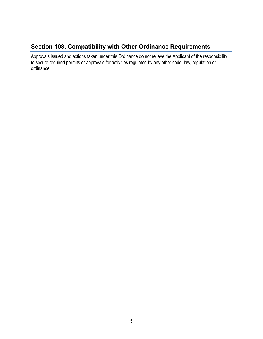#### <span id="page-6-0"></span>**Section 108. Compatibility with Other Ordinance Requirements**

Approvals issued and actions taken under this Ordinance do not relieve the Applicant of the responsibility to secure required permits or approvals for activities regulated by any other code, law, regulation or ordinance.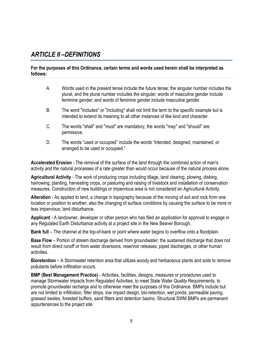# <span id="page-7-0"></span>*ARTICLE II –DEFINITIONS*

#### **For the purposes of this Ordinance, certain terms and words used herein shall be interpreted as follows:**

- A. Words used in the present tense include the future tense; the singular number includes the plural, and the plural number includes the singular; words of masculine gender include feminine gender; and words of feminine gender include masculine gender.
- B. The word "includes" or "including" shall not limit the term to the specific example but is intended to extend its meaning to all other instances of like kind and character.
- C. The words "shall" and "must" are mandatory; the words "may" and "should" are permissive.
- D. The words "used or occupied" include the words "intended, designed, maintained, or arranged to be used or occupied."

**Accelerated Erosion** - The removal of the surface of the land through the combined action of man's activity and the natural processes of a rate greater than would occur because of the natural process alone.

**Agricultural Activity** - The work of producing crops including tillage, land clearing, plowing, disking, harrowing, planting, harvesting crops, or pasturing and raising of livestock and installation of conservation measures. Construction of new buildings or impervious area is not considered an Agricultural Activity.

**Alteration** - As applied to land, a change in topography because of the moving of soil and rock from one location or position to another; also the changing of surface conditions by causing the surface to be more or less impervious; land disturbance.

**Applicant** - A landowner, developer or other person who has filed an application for approval to engage in any Regulated Earth Disturbance activity at a project site in the New Beaver Borough.

**Bank full** – The channel at the top-of-bank or point where water begins to overflow onto a floodplain.

**Base Flow** – Portion of stream discharge derived from groundwater; the sustained discharge that does not result from direct runoff or from water diversions, reservoir releases, piped discharges, or other human activities.

**Bioretention** – A Stormwater retention area that utilizes woody and herbaceous plants and soils to remove pollutants before infiltration occurs.

**BMP (Best Management Practice)** - Activities, facilities, designs, measures or procedures used to manage Stormwater impacts from Regulated Activities, to meet State Water Quality Requirements, to promote groundwater recharge and to otherwise meet the purposes of this Ordinance. BMPs include but are not limited to infiltration, filter strips, low impact design, bio-retention, wet ponds, permeable paving, grassed swales, forested buffers, sand filters and detention basins. Structural SWM BMPs are permanent appurtenances to the project site.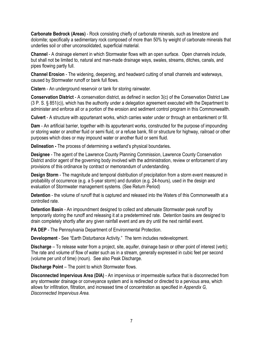**Carbonate Bedrock (Areas)** - Rock consisting chiefly of carbonate minerals, such as limestone and dolomite; specifically a sedimentary rock composed of more than 50% by weight of carbonate minerals that underlies soil or other unconsolidated, superficial material.

**Channel** - A drainage element in which Stormwater flows with an open surface. Open channels include, but shall not be limited to, natural and man-made drainage ways, swales, streams, ditches, canals, and pipes flowing partly full.

**Channel Erosion** - The widening, deepening, and headward cutting of small channels and waterways, caused by Stormwater runoff or bank full flows.

**Cistern** - An underground reservoir or tank for storing rainwater.

**Conservation District** - A conservation district, as defined in section 3(c) of the Conservation District Law (3 P. S. § 851(c)), which has the authority under a delegation agreement executed with the Department to administer and enforce all or a portion of the erosion and sediment control program in this Commonwealth.

**Culvert** - A structure with appurtenant works, which carries water under or through an embankment or fill.

**Dam** - An artificial barrier, together with its appurtenant works, constructed for the purpose of impounding or storing water or another fluid or semi fluid, or a refuse bank, fill or structure for highway, railroad or other purposes which does or may impound water or another fluid or semi fluid.

**Delineation -** The process of determining a wetland's physical boundaries**.**

**Designee** - The agent of the Lawrence County Planning Commission, Lawrence County Conservation District and/or agent of the governing body involved with the administration, review or enforcement of any provisions of this ordinance by contract or memorandum of understanding.

**Design Storm** - The magnitude and temporal distribution of precipitation from a storm event measured in probability of occurrence (e.g. a 5-year storm) and duration (e.g. 24-hours), used in the design and evaluation of Stormwater management systems. (See Return Period)

**Detention** - the volume of runoff that is captured and released into the Waters of this Commonwealth at a controlled rate.

**Detention Basin** - An impoundment designed to collect and attenuate Stormwater peak runoff by temporarily storing the runoff and releasing it at a predetermined rate. Detention basins are designed to drain completely shortly after any given rainfall event and are dry until the next rainfall event.

**PA DEP** - The Pennsylvania Department of Environmental Protection.

**Development** - See "Earth Disturbance Activity." The term includes redevelopment.

**Discharge** – To release water from a project, site, aquifer, drainage basin or other point of interest (verb); The rate and volume of flow of water such as in a stream, generally expressed in cubic feet per second (volume per unit of time) (noun). See also Peak Discharge.

**Discharge Point** – The point to which Stormwater flows.

**Disconnected Impervious Area (DIA)** - An impervious or impermeable surface that is disconnected from any stormwater drainage or conveyance system and is redirected or directed to a pervious area, which allows for infiltration, filtration, and increased time of concentration as specified in *Appendix G, Disconnected Impervious Area.*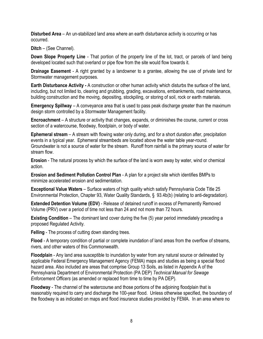**Disturbed Area** – An un-stabilized land area where an earth disturbance activity is occurring or has occurred.

**Ditch** – (See Channel).

**Down Slope Property Line** - That portion of the property line of the lot, tract, or parcels of land being developed located such that overland or pipe flow from the site would flow towards it.

**Drainage Easement** - A right granted by a landowner to a grantee, allowing the use of private land for Stormwater management purposes.

**Earth Disturbance Activity -** A construction or other human activity which disturbs the surface of the land, including, but not limited to, clearing and grubbing, grading, excavations, embankments, road maintenance, building construction and the moving, depositing, stockpiling, or storing of soil, rock or earth materials.

**Emergency Spillway** – A conveyance area that is used to pass peak discharge greater than the maximum design storm controlled by a Stormwater Management facility.

**Encroachment** – A structure or activity that changes, expands, or diminishes the course, current or cross section of a watercourse, floodway, floodplain, or body of water.

**Ephemeral stream** – A stream with flowing water only during, and for a short duration after, precipitation events in a typical year. Ephemeral streambeds are located above the water table year-round. Groundwater is not a source of water for the stream. Runoff from rainfall is the primary source of water for stream flow.

**Erosion** - The natural process by which the surface of the land is worn away by water, wind or chemical action.

**Erosion and Sediment Pollution Control Plan** - A plan for a project site which identifies BMPs to minimize accelerated erosion and sedimentation.

**Exceptional Value Waters** – Surface waters of high quality which satisfy Pennsylvania Code Title 25 Environmental Protection, Chapter 93, Water Quality Standards, § 93.4b(b) (relating to anti-degradation).

**Extended Detention Volume (EDV)** - Release of detained runoff in excess of Permanently Removed Volume (PRV) over a period of time not less than 24 and not more than 72 hours.

**Existing Condition** – The dominant land cover during the five (5) year period immediately preceding a proposed Regulated Activity.

**Felling** - The process of cutting down standing trees.

**Flood** - A temporary condition of partial or complete inundation of land areas from the overflow of streams, rivers, and other waters of this Commonwealth.

**Floodplain** - Any land area susceptible to inundation by water from any natural source or delineated by applicable Federal Emergency Management Agency (FEMA) maps and studies as being a special flood hazard area. Also included are areas that comprise Group 13 Soils, as listed in Appendix A of the Pennsylvania Department of Environmental Protection (PA DEP) *Technical Manual for Sewage Enforcement Officers* (as amended or replaced from time to time by PA DEP).

**Floodway** - The channel of the watercourse and those portions of the adjoining floodplain that is reasonably required to carry and discharge the 100-year flood. Unless otherwise specified, the boundary of the floodway is as indicated on maps and flood insurance studies provided by FEMA. In an area where no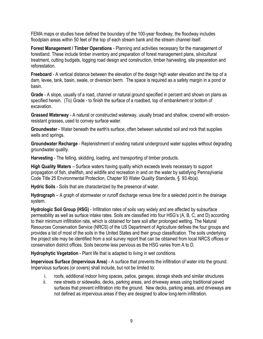FEMA maps or studies have defined the boundary of the 100-year floodway, the floodway includes floodplain areas within 50 feet of the top of each stream bank and the stream channel itself.

**Forest Management / Timber Operations** - Planning and activities necessary for the management of forestland. These include timber inventory and preparation of forest management plans, silvicultural treatment, cutting budgets, logging road design and construction, timber harvesting, site preparation and reforestation.

**Freeboard** - A vertical distance between the elevation of the design high water elevation and the top of a dam, levee, tank, basin, swale, or diversion berm. The space is required as a safety margin in a pond or basin.

**Grade** - A slope, usually of a road, channel or natural ground specified in percent and shown on plans as specified herein. (To) Grade - to finish the surface of a roadbed, top of embankment or bottom of excavation.

**Grassed Waterway** - A natural or constructed waterway, usually broad and shallow, covered with erosionresistant grasses, used to convey surface water.

**Groundwater** - Water beneath the earth's surface, often between saturated soil and rock that supplies wells and springs.

**Groundwater Recharge** - Replenishment of existing natural underground water supplies without degrading groundwater quality.

**Harvesting** - The felling, skidding, loading, and transporting of timber products.

**High Quality Waters** – Surface waters having quality which exceeds levels necessary to support propagation of fish, shellfish, and wildlife and recreation in and on the water by satisfying Pennsylvania Code Title 25 Environmental Protection, Chapter 93 Water Quality Standards, § 93.4b(a).

**Hydric Soils** - Soils that are characterized by the presence of water.

**Hydrograph** – A graph of stormwater or runoff discharge versus time for a selected point in the drainage system.

**Hydrologic Soil Group (HSG)** - Infiltration rates of soils vary widely and are affected by subsurface permeability as well as surface intake rates. Soils are classified into four HSG's (A, B, C, and D) according to their minimum infiltration rate, which is obtained for bare soil after prolonged wetting. The Natural Resources Conservation Service (NRCS) of the US Department of Agriculture defines the four groups and provides a list of most of the soils in the United States and their group classification. The soils underlying the project site may be identified from a soil survey report that can be obtained from local NRCS offices or conservation district offices. Soils become less pervious as the HSG varies from A to D.

**Hydrophytic Vegetation** - Plant life that is adapted to living in wet conditions.

**Impervious Surface (Impervious Area)** - A surface that prevents the infiltration of water into the ground. Impervious surfaces (or covers) shall include, but not be limited to:

- i. roofs, additional indoor living spaces, patios, garages, storage sheds and similar structures
- ii. new streets or sidewalks, decks, parking areas, and driveway areas using traditional paved surfaces that prevent infiltration into the ground. New decks, parking areas, and driveways are not defined as impervious areas if they are designed to allow long-term infiltration.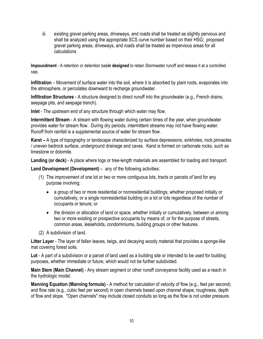iii. existing gravel parking areas, driveways, and roads shall be treated as slightly pervious and shall be analyzed using the appropriate SCS curve number based on their HSG; proposed gravel parking areas, driveways, and roads shall be treated as impervious areas for all calculations

**Impoundment** - A retention or detention bas**in designed** to retain Stormwater runoff and release it at a controlled rate.

**Infiltration** – Movement of surface water into the soil, where it is absorbed by plant roots, evaporates into the atmosphere, or percolates downward to recharge groundwater.

**Infiltration Structures** - A structure designed to direct runoff into the groundwater (e.g., French drains, seepage pits, and seepage trench).

**Inlet** - The upstream end of any structure through which water may flow.

**Intermittent Stream** - A stream with flowing water during certain times of the year, when groundwater provides water for stream flow. During dry periods, intermittent streams may not have flowing water. Runoff from rainfall is a supplemental source of water for stream flow.

**Karst –** A type of topography or landscape characterized by surface depressions, sinkholes, rock pinnacles / uneven bedrock surface, underground drainage and caves. Karst is formed on carbonate rocks, such as limestone or dolomite.

**Landing (or deck)** - A place where logs or tree-length materials are assembled for loading and transport.

**Land Development (Development)** – any of the following activities:

- (1) The improvement of one lot or two or more contiguous lots, tracts or parcels of land for any purpose involving:
	- a group of two or more residential or nonresidential buildings, whether proposed initially or cumulatively, or a single nonresidential building on a lot or lots regardless of the number of occupants or tenure; or
	- the division or allocation of land or space, whether initially or cumulatively, between or among two or more existing or prospective occupants by means of, or for the purpose of streets, common areas, leaseholds, condominiums, building groups or other features.
- (2) A subdivision of land.

**Litter Layer** - The layer of fallen leaves, twigs, and decaying woody material that provides a sponge-like mat covering forest soils.

**Lot** - A part of a subdivision or a parcel of land used as a building site or intended to be used for building purposes, whether immediate or future, which would not be further subdivided.

**Main Stem (Main Channel)** - Any stream segment or other runoff conveyance facility used as a reach in the hydrologic model.

**Manning Equation (Manning formula)** - A method for calculation of velocity of flow (e.g., feet per second) and flow rate (e.g., cubic feet per second) in open channels based upon channel shape, roughness, depth of flow and slope. "Open channels" may include closed conduits so long as the flow is not under pressure.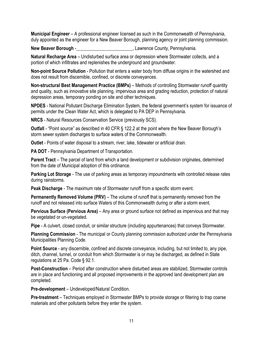**Municipal Engineer** – A professional engineer licensed as such in the Commonwealth of Pennsylvania, duly appointed as the engineer for a New Beaver Borough, planning agency or joint planning commission.

**New Beaver Borough** -\_\_\_\_\_\_\_\_\_\_\_\_\_\_\_\_\_\_\_\_\_\_\_\_, Lawrence County, Pennsylvania.

**Natural Recharge Area** – Undisturbed surface area or depression where Stormwater collects, and a portion of which infiltrates and replenishes the underground and groundwater.

**Non-point Source Pollution** - Pollution that enters a water body from diffuse origins in the watershed and does not result from discernible, confined, or discrete conveyances.

**Non-structural Best Management Practice (BMPs)** – Methods of controlling Stormwater runoff quantity and quality, such as innovative site planning, impervious area and grading reduction, protection of natural depression areas, temporary ponding on site and other techniques.

**NPDES** - National Pollutant Discharge Elimination System, the federal government's system for issuance of permits under the Clean Water Act, which is delegated to PA DEP in Pennsylvania.

**NRCS** - Natural Resources Conservation Service (previously SCS).

**Outfall** - "Point source" as described in 40 CFR § 122.2 at the point where the New Beaver Borough's storm sewer system discharges to surface waters of the Commonwealth.

**Outlet** - Points of water disposal to a stream, river, lake, tidewater or artificial drain.

**PA DOT** - Pennsylvania Department of Transportation.

**Parent Tract** – The parcel of land from which a land development or subdivision originates, determined from the date of Municipal adoption of this ordinance.

**Parking Lot Storage** - The use of parking areas as temporary impoundments with controlled release rates during rainstorms.

**Peak Discharge** - The maximum rate of Stormwater runoff from a specific storm event.

**Permanently Removed Volume (PRV)** – The volume of runoff that is permanently removed from the runoff and not released into surface Waters of this Commonwealth during or after a storm event.

**Pervious Surface (Pervious Area)** – Any area or ground surface not defined as impervious and that may be vegetated or un-vegetated.

**Pipe** - A culvert, closed conduit, or similar structure (including appurtenances) that conveys Stormwater.

**Planning Commission** - The municipal or County planning commission authorized under the Pennsylvania Municipalities Planning Code.

**Point Source** - any discernible, confined and discrete conveyance, including, but not limited to, any pipe, ditch, channel, tunnel, or conduit from which Stormwater is or may be discharged, as defined in State regulations at 25 Pa. Code § 92.1.

**Post-Construction** – Period after construction where disturbed areas are stabilized, Stormwater controls are in place and functioning and all proposed improvements in the approved land development plan are completed.

**Pre-development** – Undeveloped/Natural Condition.

**Pre-treatment** – Techniques employed in Stormwater BMPs to provide storage or filtering to trap coarse materials and other pollutants before they enter the system.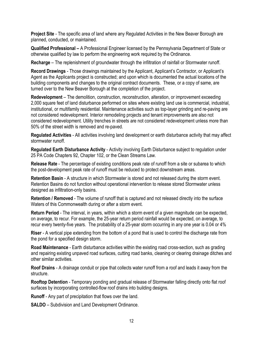**Project Site** - The specific area of land where any Regulated Activities in the New Beaver Borough are planned, conducted, or maintained.

**Qualified Professional –** A Professional Engineer licensed by the Pennsylvania Department of State or otherwise qualified by law to perform the engineering work required by the Ordinance.

**Recharge** – The replenishment of groundwater through the infiltration of rainfall or Stormwater runoff.

**Record Drawings** - Those drawings maintained by the Applicant, Applicant's Contractor, or Applicant's Agent as the Applicants project is constructed; and upon which is documented the actual locations of the building components and changes to the original contract documents. These, or a copy of same, are turned over to the New Beaver Borough at the completion of the project.

**Redevelopment** – The demolition, construction, reconstruction, alteration, or improvement exceeding 2,000 square feet of land disturbance performed on sites where existing land use is commercial, industrial, institutional, or multifamily residential. Maintenance activities such as top-layer grinding and re-paving are not considered redevelopment. Interior remodeling projects and tenant improvements are also not considered redevelopment. Utility trenches in streets are not considered redevelopment unless more than 50% of the street width is removed and re-paved.

**Regulated Activities** - All activities involving land development or earth disturbance activity that may affect stormwater runoff.

**Regulated Earth Disturbance Activity** - Activity involving Earth Disturbance subject to regulation under 25 PA Code Chapters 92, Chapter 102, or the Clean Streams Law.

**Release Rate** - The percentage of existing conditions peak rate of runoff from a site or subarea to which the post-development peak rate of runoff must be reduced to protect downstream areas.

**Retention Basin** - A structure in which Stormwater is stored and not released during the storm event. Retention Basins do not function without operational intervention to release stored Stormwater unless designed as infiltration-only basins.

**Retention / Removed** - The volume of runoff that is captured and not released directly into the surface Waters of this Commonwealth during or after a storm event.

**Return Period** - The interval, in years, within which a storm event of a given magnitude can be expected, on average, to recur. For example, the 25-year return period rainfall would be expected, on average, to recur every twenty-five years. The probability of a 25-year storm occurring in any one year is 0.04 or 4%

**Riser** - A vertical pipe extending from the bottom of a pond that is used to control the discharge rate from the pond for a specified design storm.

**Road Maintenance** - Earth disturbance activities within the existing road cross-section, such as grading and repairing existing unpaved road surfaces, cutting road banks, cleaning or clearing drainage ditches and other similar activities.

**Roof Drains** - A drainage conduit or pipe that collects water runoff from a roof and leads it away from the structure.

**Rooftop Detention** - Temporary ponding and gradual release of Stormwater falling directly onto flat roof surfaces by incorporating controlled-flow roof drains into building designs.

**Runoff** - Any part of precipitation that flows over the land.

**SALDO** – Subdivision and Land Development Ordinance.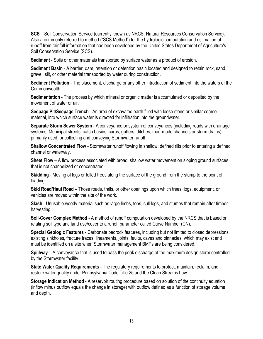**SCS** – Soil Conservation Service (currently known as NRCS, Natural Resources Conservation Service). Also a commonly referred to method ("SCS Method") for the hydrologic computation and estimation of runoff from rainfall information that has been developed by the United States Department of Agriculture's Soil Conservation Service (SCS).

**Sediment** - Soils or other materials transported by surface water as a product of erosion.

**Sediment Basin** - A barrier, dam, retention or detention basin located and designed to retain rock, sand, gravel, silt, or other material transported by water during construction.

**Sediment Pollution** - The placement, discharge or any other introduction of sediment into the waters of the Commonwealth.

**Sedimentation** - The process by which mineral or organic matter is accumulated or deposited by the movement of water or air.

**Seepage Pit/Seepage Trench** - An area of excavated earth filled with loose stone or similar coarse material, into which surface water is directed for infiltration into the groundwater.

**Separate Storm Sewer System** - A conveyance or system of conveyances (including roads with drainage systems, Municipal streets, catch basins, curbs, gutters, ditches, man-made channels or storm drains) primarily used for collecting and conveying Stormwater runoff.

**Shallow Concentrated Flow** - Stormwater runoff flowing in shallow, defined rills prior to entering a defined channel or waterway.

**Sheet Flow** – A flow process associated with broad, shallow water movement on sloping ground surfaces that is not channelized or concentrated.

**Skidding** - Moving of logs or felled trees along the surface of the ground from the stump to the point of loading.

**Skid Road/Haul Road** – Those roads, trails, or other openings upon which trees, logs, equipment, or vehicles are moved within the site of the work.

**Slash** - Unusable woody material such as large limbs, tops, cull logs, and stumps that remain after timber harvesting.

**Soil-Cover Complex Method** - A method of runoff computation developed by the NRCS that is based on relating soil type and land use/cover to a runoff parameter called Curve Number (CN).

**Special Geologic Features** - Carbonate bedrock features, including but not limited to closed depressions, existing sinkholes, fracture traces, lineaments, joints, faults, caves and pinnacles, which may exist and must be identified on a site when Stormwater management BMPs are being considered.

**Spillway** – A conveyance that is used to pass the peak discharge of the maximum design storm controlled by the Stormwater facility.

**State Water Quality Requirements** - The regulatory requirements to protect, maintain, reclaim, and restore water quality under Pennsylvania Code Title 25 and the Clean Streams Law.

**Storage Indication Method** - A reservoir routing procedure based on solution of the continuity equation (inflow minus outflow equals the change in storage) with outflow defined as a function of storage volume and depth.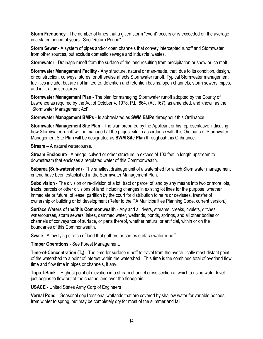**Storm Frequency** - The number of times that a given storm "event" occurs or is exceeded on the average in a stated period of years. See "Return Period".

**Storm Sewer** - A system of pipes and/or open channels that convey intercepted runoff and Stormwater from other sources, but exclude domestic sewage and industrial wastes.

**Stormwater** - Drainage runoff from the surface of the land resulting from precipitation or snow or ice melt.

**Stormwater Management Facility** - Any structure, natural or man-made, that, due to its condition, design, or construction, conveys, stores, or otherwise affects Stormwater runoff. Typical Stormwater management facilities include, but are not limited to, detention and retention basins, open channels, storm sewers, pipes, and infiltration structures.

**Stormwater Management Plan** - The plan for managing Stormwater runoff adopted by the County of Lawrence as required by the Act of October 4, 1978, P.L. 864, (Act 167), as amended, and known as the "Stormwater Management Act".

**Stormwater Management BMPs** - Is abbreviated as **SWM BMPs** throughout this Ordinance.

**Stormwater Management Site Plan** - The plan prepared by the Applicant or his representative indicating how Stormwater runoff will be managed at the project site in accordance with this Ordinance. Stormwater Management Site Pla**n** will be designated as **SWM Site Plan** throughout this Ordinance.

**Stream** – A natural watercourse.

**Stream Enclosure** - A bridge, culvert or other structure in excess of 100 feet in length upstream to downstream that encloses a regulated water of this Commonwealth.

**Subarea (Sub-watershed)** - The smallest drainage unit of a watershed for which Stormwater management criteria have been established in the Stormwater Management Plan.

**Subdivision** - The division or re-division of a lot, tract or parcel of land by any means into two or more lots, tracts, parcels or other divisions of land including changes in existing lot lines for the purpose, whether immediate or future, of lease, partition by the court for distribution to heirs or devisees, transfer of ownership or building or lot development (Refer to the PA Municipalities Planning Code, current version.)

**Surface Waters of the/this Commonwealth** - Any and all rivers, streams, creeks, rivulets, ditches, watercourses, storm sewers, lakes, dammed water, wetlands, ponds, springs, and all other bodies or channels of conveyance of surface, or parts thereof, whether natural or artificial, within or on the boundaries of this Commonwealth.

**Swale** - A low-lying stretch of land that gathers or carries surface water runoff.

**Timber Operations** - See Forest Management.

**Time-of-Concentration (T<sub>c</sub>)** - The time for surface runoff to travel from the hydraulically most distant point of the watershed to a point of interest within the watershed. This time is the combined total of overland flow time and flow time in pipes or channels, if any.

**Top-of-Bank** – Highest point of elevation in a stream channel cross section at which a rising water level just begins to flow out of the channel and over the floodplain.

**USACE** - United States Army Corp of Engineers

**Vernal Pond** – Seasonal dep1ressional wetlands that are covered by shallow water for variable periods from winter to spring, but may be completely dry for most of the summer and fall.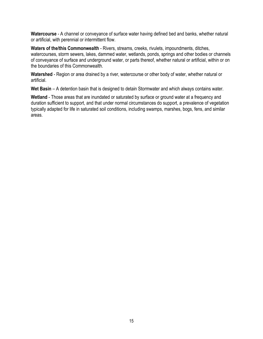**Watercourse** - A channel or conveyance of surface water having defined bed and banks, whether natural or artificial, with perennial or intermittent flow.

**Waters of the/this Commonwealth** - Rivers, streams, creeks, rivulets, impoundments, ditches, watercourses, storm sewers, lakes, dammed water, wetlands, ponds, springs and other bodies or channels of conveyance of surface and underground water, or parts thereof, whether natural or artificial, within or on the boundaries of this Commonwealth.

**Watershed** - Region or area drained by a river, watercourse or other body of water, whether natural or artificial.

**Wet Basin** – A detention basin that is designed to detain Stormwater and which always contains water.

**Wetland** - Those areas that are inundated or saturated by surface or ground water at a frequency and duration sufficient to support, and that under normal circumstances do support, a prevalence of vegetation typically adapted for life in saturated soil conditions, including swamps, marshes, bogs, fens, and similar areas.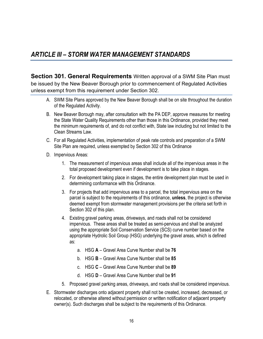# <span id="page-17-0"></span>*ARTICLE III – STORM WATER MANAGEMENT STANDARDS*

<span id="page-17-1"></span>**Section 301. General Requirements** Written approval of a SWM Site Plan must be issued by the New Beaver Borough prior to commencement of Regulated Activities unless exempt from this requirement under Section 302.

- A. SWM Site Plans approved by the New Beaver Borough shall be on site throughout the duration of the Regulated Activity.
- B. New Beaver Borough may, after consultation with the PA DEP, approve measures for meeting the State Water Quality Requirements other than those in this Ordinance, provided they meet the minimum requirements of, and do not conflict with, State law including but not limited to the Clean Streams Law.
- C. For all Regulated Activities, implementation of peak rate controls and preparation of a SWM Site Plan are required, unless exempted by Section 302 of this Ordinance
- D. Impervious Areas:
	- 1. The measurement of impervious areas shall include all of the impervious areas in the total proposed development even if development is to take place in stages.
	- 2. For development taking place in stages, the entire development plan must be used in determining conformance with this Ordinance.
	- 3. For projects that add impervious area to a parcel, the total impervious area on the parcel is subject to the requirements of this ordinance, **unless**, the project is otherwise deemed exempt from stormwater management provisions per the criteria set forth in Section 302 of this plan.
	- 4. Existing gravel parking areas, driveways, and roads shall not be considered impervious. These areas shall be treated as semi-pervious and shall be analyzed using the appropriate Soil Conservation Service (SCS) curve number based on the appropriate Hydrolic Soil Group (HSG) underlying the gravel areas, which is defined as:
		- a. HSG **A** Gravel Area Curve Number shall be **76**
		- b. HSG **B** Gravel Area Curve Number shall be **85**
		- c. HSG **C** Gravel Area Curve Number shall be **89**
		- d. HSG **D** Gravel Area Curve Number shall be **91**
	- 5. Proposed gravel parking areas, driveways, and roads shall be considered impervious.
- E. Stormwater discharges onto adjacent property shall not be created, increased, decreased, or relocated, or otherwise altered without permission or written notification of adjacent property owner(s). Such discharges shall be subject to the requirements of this Ordinance.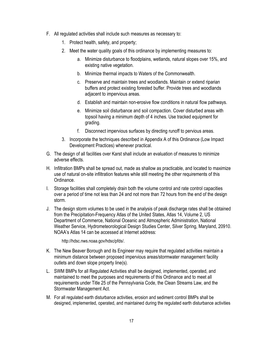- F. All regulated activities shall include such measures as necessary to:
	- 1. Protect health, safety, and property;
	- 2. Meet the water quality goals of this ordinance by implementing measures to:
		- a. Minimize disturbance to floodplains, wetlands, natural slopes over 15%, and existing native vegetation.
		- b. Minimize thermal impacts to Waters of the Commonwealth.
		- c. Preserve and maintain trees and woodlands. Maintain or extend riparian buffers and protect existing forested buffer. Provide trees and woodlands adjacent to impervious areas.
		- d. Establish and maintain non-erosive flow conditions in natural flow pathways.
		- e. Minimize soil disturbance and soil compaction. Cover disturbed areas with topsoil having a minimum depth of 4 inches. Use tracked equipment for grading.
		- f. Disconnect impervious surfaces by directing runoff to pervious areas.
	- 3. Incorporate the techniques described in Appendix A of this Ordinance (Low Impact Development Practices) whenever practical.
- G. The design of all facilities over Karst shall include an evaluation of measures to minimize adverse effects.
- H. Infiltration BMPs shall be spread out, made as shallow as practicable, and located to maximize use of natural on-site infiltration features while still meeting the other requirements of this Ordinance.
- I. Storage facilities shall completely drain both the volume control and rate control capacities over a period of time not less than 24 and not more than 72 hours from the end of the design storm.
- J. The design storm volumes to be used in the analysis of peak discharge rates shall be obtained from the Precipitation-Frequency Atlas of the United States, Atlas 14, Volume 2, US Department of Commerce, National Oceanic and Atmospheric Administration, National Weather Service, Hydrometeorological Design Studies Center, Silver Spring, Maryland, 20910. NOAA's Atlas 14 can be accessed at Internet address:

[http://hdsc.nws.noaa.gov/hdsc/pfds/.](http://hdsc.nws.noaa.gov/hdsc/pfds/)

- K. The New Beaver Borough and its Engineer may require that regulated activities maintain a minimum distance between proposed impervious areas/stormwater management facility outlets and down slope property line(s).
- L. SWM BMPs for all Regulated Activities shall be designed, implemented, operated, and maintained to meet the purposes and requirements of this Ordinance and to meet all requirements under Title 25 of the Pennsylvania Code, the Clean Streams Law, and the Stormwater Management Act.
- M. For all regulated earth disturbance activities, erosion and sediment control BMPs shall be designed, implemented, operated, and maintained during the regulated earth disturbance activities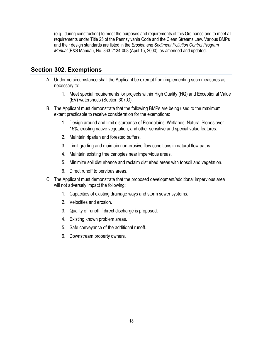(e.g., during construction) to meet the purposes and requirements of this Ordinance and to meet all requirements under Title 25 of the Pennsylvania Code and the Clean Streams Law. Various BMPs and their design standards are listed in the *Erosion and Sediment Pollution Control Program Manual* (E&S Manual), No. 363-2134-008 (April 15, 2000), as amended and updated.

#### <span id="page-19-0"></span>**Section 302. Exemptions**

- A. Under no circumstance shall the Applicant be exempt from implementing such measures as necessary to:
	- 1. Meet special requirements for projects within High Quality (HQ) and Exceptional Value (EV) watersheds (Section 307.G).
- B. The Applicant must demonstrate that the following BMPs are being used to the maximum extent practicable to receive consideration for the exemptions:
	- 1. Design around and limit disturbance of Floodplains, Wetlands, Natural Slopes over 15%, existing native vegetation, and other sensitive and special value features.
	- 2. Maintain riparian and forested buffers.
	- 3. Limit grading and maintain non-erosive flow conditions in natural flow paths.
	- 4. Maintain existing tree canopies near impervious areas.
	- 5. Minimize soil disturbance and reclaim disturbed areas with topsoil and vegetation.
	- 6. Direct runoff to pervious areas.
- C. The Applicant must demonstrate that the proposed development/additional impervious area will not adversely impact the following:
	- 1. Capacities of existing drainage ways and storm sewer systems.
	- 2. Velocities and erosion.
	- 3. Quality of runoff if direct discharge is proposed.
	- 4. Existing known problem areas.
	- 5. Safe conveyance of the additional runoff.
	- 6. Downstream property owners.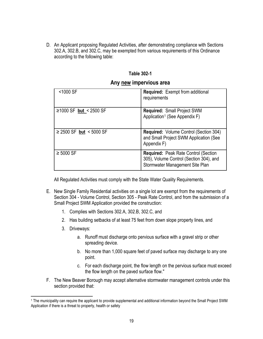D. An Applicant proposing Regulated Activities, after demonstrating compliance with Sections 302.A, 302.B, and 302.C, may be exempted from various requirements of this Ordinance according to the following table:

#### **Table 302-1**

#### **Any new impervious area**

| <1000 SF                | <b>Required:</b> Exempt from additional<br>requirements                                                                   |
|-------------------------|---------------------------------------------------------------------------------------------------------------------------|
| ≥1000 SF but < 2500 SF  | <b>Required: Small Project SWM</b><br>Application <sup>1</sup> (See Appendix F)                                           |
| ≥ 2500 SF but < 5000 SF | <b>Required:</b> Volume Control (Section 304)<br>and Small Project SWM Application (See<br>Appendix F)                    |
| $\geq 5000$ SF          | <b>Required: Peak Rate Control (Section</b><br>305), Volume Control (Section 304), and<br>Stormwater Management Site Plan |

All Regulated Activities must comply with the State Water Quality Requirements.

- E. New Single Family Residential activities on a single lot are exempt from the requirements of Section 304 - Volume Control, Section 305 - Peak Rate Control, and from the submission of a Small Project SWM Application provided the construction:
	- 1. Complies with Sections 302.A, 302.B, 302.C, and
	- 2. Has building setbacks of at least 75 feet from down slope property lines, and
	- 3. Driveways:
		- a. Runoff must discharge onto pervious surface with a gravel strip or other spreading device.
		- b. No more than 1,000 square feet of paved surface may discharge to any one point.
		- c. For each discharge point, the flow length on the pervious surface must exceed the flow length on the paved surface flow."
- F. The New Beaver Borough may accept alternative stormwater management controls under this section provided that:

<span id="page-20-0"></span><sup>&</sup>lt;sup>1</sup> The municipality can require the applicant to provide supplemental and additional information beyond the Small Project SWM Application if there is a threat to property, health or safety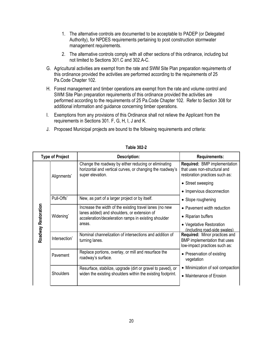- 1. The alternative controls are documented to be acceptable to PADEP (or Delegated Authority), for NPDES requirements pertaining to post construction stormwater management requirements.
- 2. The alternative controls comply with all other sections of this ordinance, including but not limited to Sections 301.C and 302.A-C.
- G. Agricultural activities are exempt from the rate and SWM Site Plan preparation requirements of this ordinance provided the activities are performed according to the requirements of 25 Pa.Code Chapter 102.
- H. Forest management and timber operations are exempt from the rate and volume control and SWM Site Plan preparation requirements of this ordinance provided the activities are performed according to the requirements of 25 Pa.Code Chapter 102. Refer to Section 308 for additional information and guidance concerning timber operations.
- I. Exemptions from any provisions of this Ordinance shall not relieve the Applicant from the requirements in Sections 301. F, G, H, I, J and K.
- J. Proposed Municipal projects are bound to the following requirements and criteria:

| <b>Type of Project</b> |                  | <b>Description:</b>                                                                                                                   | <b>Requirements:</b>                                                                                  |
|------------------------|------------------|---------------------------------------------------------------------------------------------------------------------------------------|-------------------------------------------------------------------------------------------------------|
|                        | Alignments*      | Change the roadway by either reducing or eliminating<br>horizontal and vertical curves, or changing the roadway's<br>super elevation. | <b>Required: BMP implementation</b><br>that uses non-structural and<br>restoration practices such as: |
|                        |                  |                                                                                                                                       | • Street sweeping                                                                                     |
|                        |                  |                                                                                                                                       | • Impervious disconnection                                                                            |
|                        | Pull-Offs*       | New, as part of a larger project or by itself.                                                                                        | • Slope roughening                                                                                    |
|                        |                  | Increase the width of the existing travel lanes (no new                                                                               | • Pavement width reduction                                                                            |
| Widening*              |                  | lanes added) and shoulders, or extension of<br>acceleration/deceleration ramps in existing shoulder                                   | • Riparian buffers                                                                                    |
| Roadway Restoration    |                  | areas.                                                                                                                                | • Vegetative Restoration<br>(including road-side swales)                                              |
|                        | Intersection*    | Nominal channelization of intersections and addition of<br>turning lanes.                                                             | <b>Required:</b> Minor practices and<br>BMP implementation that uses<br>low-impact practices such as: |
|                        | Pavement         | Replace portions, overlay, or mill and resurface the<br>roadway's surface.                                                            | • Preservation of existing<br>vegetation                                                              |
|                        |                  | Resurface, stabilize, upgrade (dirt or gravel to paved), or                                                                           | • Minimization of soil compaction                                                                     |
|                        | <b>Shoulders</b> | widen the existing shoulders within the existing footprint.                                                                           | • Maintenance of Erosion                                                                              |
|                        |                  |                                                                                                                                       |                                                                                                       |

#### **Table 302-2**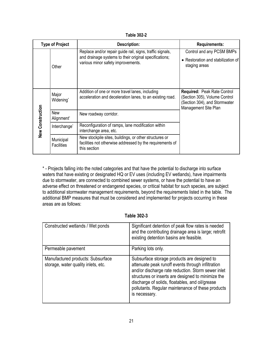**Table 302-2**

|                  | <b>Type of Project</b>               | <b>Description:</b>                                                                                                                                       | <b>Requirements:</b>                                                                                                         |
|------------------|--------------------------------------|-----------------------------------------------------------------------------------------------------------------------------------------------------------|------------------------------------------------------------------------------------------------------------------------------|
|                  | Other                                | Replace and/or repair guide rail, signs, traffic signals,<br>and drainage systems to their original specifications;<br>various minor safety improvements. | Control and any PCSM BMPs<br>• Restoration and stabilization of<br>staging areas                                             |
|                  | Major<br>Widening*                   | Addition of one or more travel lanes, including<br>acceleration and deceleration lanes, to an existing road.                                              | <b>Required: Peak Rate Control</b><br>(Section 305), Volume Control<br>(Section 304), and Stormwater<br>Management Site Plan |
|                  | <b>New</b><br>Alignment <sup>*</sup> | New roadway corridor.                                                                                                                                     |                                                                                                                              |
| New Construction | Interchange <sup>*</sup>             | Reconfiguration of ramps, lane modification within<br>interchange area, etc.                                                                              |                                                                                                                              |
|                  | Municipal<br><b>Facilities</b>       | New stockpile sites, buildings, or other structures or<br>facilities not otherwise addressed by the requirements of<br>this section                       |                                                                                                                              |

\* - Projects falling into the noted categories and that have the potential to discharge into surface waters that have existing or designated HQ or EV uses (including EV wetlands), have impairments due to stormwater, are connected to combined sewer systems, or have the potential to have an adverse effect on threatened or endangered species, or critical habitat for such species, are subject to additional stormwater management requirements, beyond the requirements listed in the table. The additional BMP measures that must be considered and implemented for projects occurring in these areas are as follows:

#### **Table 302-3**

| Constructed wetlands / Wet ponds                                         | Significant detention of peak flow rates is needed<br>and the contributing drainage area is large; retrofit<br>existing detention basins are feasible.                                                                                                                                                                                |
|--------------------------------------------------------------------------|---------------------------------------------------------------------------------------------------------------------------------------------------------------------------------------------------------------------------------------------------------------------------------------------------------------------------------------|
| Permeable pavement                                                       | Parking lots only.                                                                                                                                                                                                                                                                                                                    |
| Manufactured products: Subsurface<br>storage, water quality inlets, etc. | Subsurface storage products are designed to<br>attenuate peak runoff events through infiltration<br>and/or discharge rate reduction. Storm sewer inlet<br>structures or inserts are designed to minimize the<br>discharge of solids, floatables, and oil/grease<br>pollutants. Regular maintenance of these products<br>is necessary. |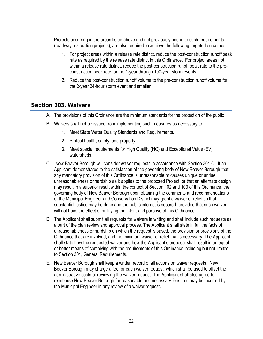Projects occurring in the areas listed above and not previously bound to such requirements (roadway restoration projects), are also required to achieve the following targeted outcomes:

- 1. For project areas within a release rate district, reduce the post-construction runoff peak rate as required by the release rate district in this Ordinance. For project areas not within a release rate district, reduce the post-construction runoff peak rate to the preconstruction peak rate for the 1-year through 100-year storm events.
- 2. Reduce the post-construction runoff volume to the pre-construction runoff volume for the 2-year 24-hour storm event and smaller.

#### <span id="page-23-0"></span>**Section 303. Waivers**

- A. The provisions of this Ordinance are the minimum standards for the protection of the public
- B. Waivers shall not be issued from implementing such measures as necessary to:
	- 1. Meet State Water Quality Standards and Requirements.
	- 2. Protect health, safety, and property.
	- 3. Meet special requirements for High Quality (HQ) and Exceptional Value (EV) watersheds.
- C. New Beaver Borough will consider waiver requests in accordance with Section 301.C. If an Applicant demonstrates to the satisfaction of the governing body of New Beaver Borough that any mandatory provision of this Ordinance is unreasonable or causes unique or undue unreasonableness or hardship as it applies to the proposed Project, or that an alternate design may result in a superior result within the context of Section 102 and 103 of this Ordinance, the governing body of New Beaver Borough upon obtaining the comments and recommendations of the Municipal Engineer and Conservation District may grant a waiver or relief so that substantial justice may be done and the public interest is secured; provided that such waiver will not have the effect of nullifying the intent and purpose of this Ordinance.
- D. The Applicant shall submit all requests for waivers in writing and shall include such requests as a part of the plan review and approval process. The Applicant shall state in full the facts of unreasonableness or hardship on which the request is based, the provision or provisions of the Ordinance that are involved, and the minimum waiver or relief that is necessary. The Applicant shall state how the requested waiver and how the Applicant's proposal shall result in an equal or better means of complying with the requirements of this Ordinance including but not limited to Section 301, General Requirements.
- E. New Beaver Borough shall keep a written record of all actions on waiver requests. New Beaver Borough may charge a fee for each waiver request, which shall be used to offset the administrative costs of reviewing the waiver request. The Applicant shall also agree to reimburse New Beaver Borough for reasonable and necessary fees that may be incurred by the Municipal Engineer in any review of a waiver request.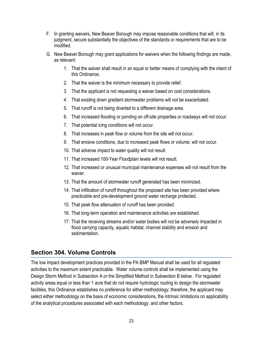- F. In granting waivers, New Beaver Borough may impose reasonable conditions that will, in its judgment, secure substantially the objectives of the standards or requirements that are to be modified.
- G. New Beaver Borough may grant applications for waivers when the following findings are made, as relevant:
	- 1. That the waiver shall result in an equal or better means of complying with the intent of this Ordinance.
	- 2. That the waiver is the minimum necessary to provide relief.
	- 3. That the applicant is not requesting a waiver based on cost considerations.
	- 4. That existing down gradient stormwater problems will not be exacerbated.
	- 5. That runoff is not being diverted to a different drainage area.
	- 6. That increased flooding or ponding on off-site properties or roadways will not occur.
	- 7. That potential icing conditions will not occur.
	- 8. That increases in peak flow or volume from the site will not occur.
	- 9. That erosive conditions, due to increased peak flows or volume, will not occur.
	- 10. That adverse impact to water quality will not result.
	- 11. That increased 100-Year Floodplain levels will not result.
	- 12. That increased or unusual municipal maintenance expenses will not result from the waiver.
	- 13. That the amount of stormwater runoff generated has been minimized.
	- 14. That infiltration of runoff throughout the proposed site has been provided where practicable and pre-development ground water recharge protected.
	- 15. That peak flow attenuation of runoff has been provided.
	- 16. That long-term operation and maintenance activities are established.
	- 17. That the receiving streams and/or water bodies will not be adversely impacted in flood carrying capacity, aquatic habitat, channel stability and erosion and sedimentation.

### <span id="page-24-0"></span>**Section 304. Volume Controls**

The low impact development practices provided in the PA BMP Manual shall be used for all regulated activities to the maximum extent practicable. Water volume controls shall be implemented using the Design Storm Method in Subsection A or the Simplified Method in Subsection B below. For regulated activity areas equal or less than 1 acre that do not require hydrologic routing to design the stormwater facilities, this Ordinance establishes no preference for either methodology; therefore, the applicant may select either methodology on the basis of economic considerations, the intrinsic limitations on applicability of the analytical procedures associated with each methodology, and other factors.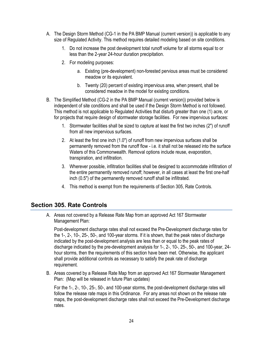- A. The Design Storm Method (CG-1 in the PA BMP Manual (current version)) is applicable to any size of Regulated Activity. This method requires detailed modeling based on site conditions.
	- 1. Do not increase the post development total runoff volume for all storms equal to or less than the 2-year 24-hour duration precipitation.
	- 2. For modeling purposes:
		- a. Existing (pre-development) non-forested pervious areas must be considered meadow or its equivalent.
		- b. Twenty (20) percent of existing impervious area, when present, shall be considered meadow in the model for existing conditions.
- B. The Simplified Method (CG-2 in the PA BMP Manual (current version)) provided below is independent of site conditions and shall be used if the Design Storm Method is not followed. This method is not applicable to Regulated Activities that disturb greater than one (1) acre, or for projects that require design of stormwater storage facilities. For new impervious surfaces:
	- 1. Stormwater facilities shall be sized to capture at least the first two inches (2") of runoff from all new impervious surfaces.
	- 2. At least the first one inch (1.0") of runoff from new impervious surfaces shall be permanently removed from the runoff flow - i.e. it shall not be released into the surface Waters of this Commonwealth. Removal options include reuse, evaporation, transpiration, and infiltration.
	- 3. Wherever possible, infiltration facilities shall be designed to accommodate infiltration of the entire permanently removed runoff; however, in all cases at least the first one-half inch (0.5") of the permanently removed runoff shall be infiltrated.
	- 4. This method is exempt from the requirements of Section 305, Rate Controls.

#### <span id="page-25-0"></span>**Section 305. Rate Controls**

A. Areas not covered by a Release Rate Map from an approved Act 167 Stormwater Management Plan:

Post-development discharge rates shall not exceed the Pre-Development discharge rates for the 1-, 2-, 10-, 25-, 50-, and 100-year storms. If it is shown, that the peak rates of discharge indicated by the post-development analysis are less than or equal to the peak rates of discharge indicated by the pre-development analysis for 1-, 2-, 10-, 25-, 50-, and 100-year, 24 hour storms, then the requirements of this section have been met. Otherwise, the applicant shall provide additional controls as necessary to satisfy the peak rate of discharge requirement.

B. Areas covered by a Release Rate Map from an approved Act 167 Stormwater Management Plan: (Map will be released in future Plan updates)

For the 1-, 2-, 10-, 25-, 50-, and 100-year storms, the post-development discharge rates will follow the release rate maps in this Ordinance. For any areas not shown on the release rate maps, the post-development discharge rates shall not exceed the Pre-Development discharge rates.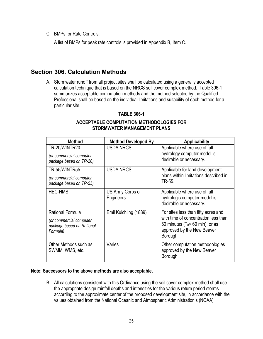C. BMPs for Rate Controls:

A list of BMPs for peak rate controls is provided in Appendix B, Item C.

#### <span id="page-26-0"></span>**Section 306. Calculation Methods**

A. Stormwater runoff from all project sites shall be calculated using a generally accepted calculation technique that is based on the NRCS soil cover complex method. Table 306-1 summarizes acceptable computation methods and the method selected by the Qualified Professional shall be based on the individual limitations and suitability of each method for a particular site.

#### **TABLE 306-1**

#### **ACCEPTABLE COMPUTATION METHODOLOGIES FOR STORMWATER MANAGEMENT PLANS**

| <b>Method</b>                                                                               | <b>Method Developed By</b>    | <b>Applicability</b>                                                                                                                                        |
|---------------------------------------------------------------------------------------------|-------------------------------|-------------------------------------------------------------------------------------------------------------------------------------------------------------|
| TR-20/WINTR20<br>(or commercial computer<br>package based on TR-20)                         | <b>USDA NRCS</b>              | Applicable where use of full<br>hydrology computer model is<br>desirable or necessary.                                                                      |
| TR-55/WINTR55<br>(or commercial computer<br>package based on TR-55)                         | <b>USDA NRCS</b>              | Applicable for land development<br>plans within limitations described in<br>TR-55.                                                                          |
| <b>HEC-HMS</b>                                                                              | US Army Corps of<br>Engineers | Applicable where use of full<br>hydrologic computer model is<br>desirable or necessary.                                                                     |
| <b>Rational Formula</b><br>(or commercial computer<br>package based on Rational<br>Formula) | Emil Kuichling (1889)         | For sites less than fifty acres and<br>with time of concentration less than<br>60 minutes ( $T_c$ < 60 min), or as<br>approved by the New Beaver<br>Borough |
| Other Methods such as<br>SWMM, WMS, etc.                                                    | Varies                        | Other computation methodologies<br>approved by the New Beaver<br>Borough                                                                                    |

#### **Note: Successors to the above methods are also acceptable.**

B. All calculations consistent with this Ordinance using the soil cover complex method shall use the appropriate design rainfall depths and intensities for the various return period storms according to the approximate center of the proposed development site, in accordance with the values obtained from the National Oceanic and Atmospheric Administration's (NOAA)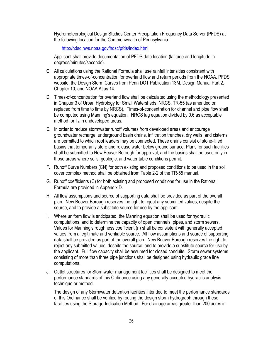Hydrometeorological Design Studies Center Precipitation Frequency Data Server (PFDS) at the following location for the Commonwealth of Pennsylvania:

<http://hdsc.nws.noaa.gov/hdsc/pfds/index.html>

Applicant shall provide documentation of PFDS data location (latitude and longitude in degrees/minutes/seconds).

- C. All calculations using the Rational Formula shall use rainfall intensities consistent with appropriate times-of-concentration for overland flow and return periods from the NOAA, PFDS website, the Design Storm Curves from Penn DOT Publication 13M, Design Manual Part 2, Chapter 10, and NOAA Atlas 14.
- D. Times-of-concentration for overland flow shall be calculated using the methodology presented in Chapter 3 of Urban Hydrology for Small Watersheds, NRCS, TR-55 (as amended or replaced from time to time by NRCS). Times-of-concentration for channel and pipe flow shall be computed using Manning's equation. NRCS lag equation divided by 0.6 as acceptable method for  $T_c$  in undeveloped areas.
- E. In order to reduce stormwater runoff volumes from developed areas and encourage groundwater recharge, underground basin drains, infiltration trenches, dry wells, and cisterns are permitted to which roof leaders may be connected. These drains consist of stone-filled basins that temporarily store and release water below ground surface. Plans for such facilities shall be submitted to New Beaver Borough for approval, and the basins shall be used only in those areas where soils, geologic, and water table conditions permit.
- F. Runoff Curve Numbers (CN) for both existing and proposed conditions to be used in the soil cover complex method shall be obtained from Table 2-2 of the TR-55 manual.
- G. Runoff coefficients (C) for both existing and proposed conditions for use in the Rational Formula are provided in Appendix D.
- H. All flow assumptions and source of supporting data shall be provided as part of the overall plan. New Beaver Borough reserves the right to reject any submitted values, despite the source, and to provide a substitute source for use by the applicant.
- I. Where uniform flow is anticipated, the Manning equation shall be used for hydraulic computations, and to determine the capacity of open channels, pipes, and storm sewers. Values for Manning's roughness coefficient (n) shall be consistent with generally accepted values from a legitimate and verifiable source. All flow assumptions and source of supporting data shall be provided as part of the overall plan. New Beaver Borough reserves the right to reject any submitted values, despite the source, and to provide a substitute source for use by the applicant. Full flow capacity shall be assumed for closed conduits. Storm sewer systems consisting of more than three pipe junctions shall be designed using hydraulic grade line computations.
- J. Outlet structures for Stormwater management facilities shall be designed to meet the performance standards of this Ordinance using any generally accepted hydraulic analysis technique or method.

The design of any Stormwater detention facilities intended to meet the performance standards of this Ordinance shall be verified by routing the design storm hydrograph through these facilities using the Storage-Indication Method. For drainage areas greater than 200 acres in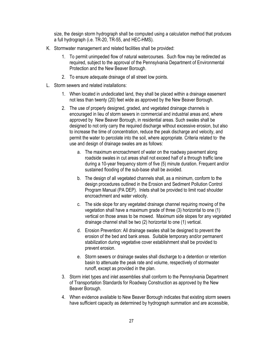size, the design storm hydrograph shall be computed using a calculation method that produces a full hydrograph (i.e. TR-20, TR-55, and HEC-HMS).

- K. Stormwater management and related facilities shall be provided:
	- 1. To permit unimpeded flow of natural watercourses. Such flow may be redirected as required, subject to the approval of the Pennsylvania Department of Environmental Protection and the New Beaver Borough.
	- 2. To ensure adequate drainage of all street low points.
- L. Storm sewers and related installations:
	- 1. When located in undedicated land, they shall be placed within a drainage easement not less than twenty (20) feet wide as approved by the New Beaver Borough.
	- 2. The use of properly designed, graded, and vegetated drainage channels is encouraged in lieu of storm sewers in commercial and industrial areas and, where approved by New Beaver Borough, in residential areas. Such swales shall be designed to not only carry the required discharge without excessive erosion, but also to increase the time of concentration, reduce the peak discharge and velocity, and permit the water to percolate into the soil, where appropriate. Criteria related to· the use and design of drainage swales are as follows:
		- a. The maximum encroachment of water on the roadway pavement along roadside swales in cut areas shall not exceed half of a through traffic lane during a 10-year frequency storm of five (5) minute duration. Frequent and/or sustained flooding of the sub-base shall be avoided.
		- b. The design of all vegetated channels shall, as a minimum, conform to the design procedures outlined in the Erosion and Sediment Pollution Control Program Manual (PA DEP). Inlets shall be provided to limit road shoulder encroachment and water velocity.
		- c. The side slope for any vegetated drainage channel requiring mowing of the vegetation shall have a maximum grade of three (3) horizontal to one (1) vertical on those areas to be mowed. Maximum side slopes for any vegetated drainage channel shall be two (2) horizontal to one (1) vertical.
		- d. Erosion Prevention: All drainage swales shall be designed to prevent the erosion of the bed and bank areas. Suitable temporary and/or permanent stabilization during vegetative cover establishment shall be provided to prevent erosion.
		- e. Storm sewers or drainage swales shall discharge to a detention or retention basin to attenuate the peak rate and volume, respectively of stormwater runoff, except as provided in the plan.
	- 3. Storm inlet types and inlet assemblies shall conform to the Pennsylvania Department of Transportation Standards for Roadway Construction as approved by the New Beaver Borough.
	- 4. When evidence available to New Beaver Borough indicates that existing storm sewers have sufficient capacity as determined by hydrograph summation and are accessible,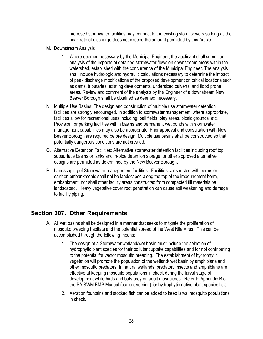proposed stormwater facilities may connect to the existing storm sewers so long as the peak rate of discharge does not exceed the amount permitted by this Article.

- M. Downstream Analysis
	- 1. Where deemed necessary by the Municipal Engineer, the applicant shall submit an analysis of the impacts of detained stormwater flows on downstream areas within the watershed, established with the concurrence of the Municipal Engineer. The analysis shall include hydrologic and hydraulic calculations necessary to determine the impact of peak discharge modifications of the proposed development on critical locations such as dams, tributaries, existing developments, undersized culverts, and flood prone areas. Review and comment of the analysis by the Engineer of a downstream New Beaver Borough shall be obtained as deemed necessary.
- N. Multiple Use Basins: The design and construction of multiple use stormwater detention facilities are strongly encouraged. In addition to stormwater management; where appropriate, facilities allow for recreational uses including: ball fields, play areas, picnic grounds, etc. Provision for parking facilities within basins and permanent wet ponds with stormwater management capabilities may also be appropriate. Prior approval and consultation with New Beaver Borough are required before design. Multiple use basins shall be constructed so that potentially dangerous conditions are not created.
- O. Alternative Detention Facilities: Alternative stormwater detention facilities including roof top, subsurface basins or tanks and in-pipe detention storage, or other approved alternative designs are permitted as determined by the New Beaver Borough.
- P. Landscaping of Stormwater management facilities: Facilities constructed with berms or earthen embankments shall not be landscaped along the top of the impoundment berm, embankment, nor shall other facility areas constructed from compacted fill materials be landscaped. Heavy vegetative cover root penetration can cause soil weakening and damage to facility piping.

#### <span id="page-29-0"></span>**Section 307. Other Requirements**

- A. All wet basins shall be designed in a manner that seeks to mitigate the proliferation of mosquito breeding habitats and the potential spread of the West Nile Virus. This can be accomplished through the following means:
	- 1. The design of a Stormwater wetland/wet basin must include the selection of hydrophytic plant species for their pollutant uptake capabilities and for not contributing to the potential for vector mosquito breeding. The establishment of hydrophytic vegetation will promote the population of the wetland/ wet basin by amphibians and other mosquito predators. In natural wetlands, predatory insects and amphibians are effective at keeping mosquito populations in check during the larval stage of development while birds and bats prey on adult mosquitoes. Refer to Appendix B of the PA SWM BMP Manual (current version) for hydrophytic native plant species lists.
	- 2. Aeration fountains and stocked fish can be added to keep larval mosquito populations in check.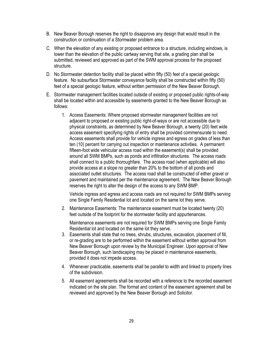- B. New Beaver Borough reserves the right to disapprove any design that would result in the construction or continuation of a Stormwater problem area.
- C. When the elevation of any existing or proposed entrance to a structure, including windows, is lower than the elevation of the public cartway serving that site, a grading plan shall be submitted, reviewed and approved as part of the SWM approval process for the proposed structure.
- D. No Stormwater detention facility shall be placed within fifty (50) feet of a special geologic feature. No subsurface Stormwater conveyance facility shall be constructed within fifty (50) feet of a special geologic feature, without written permission of the New Beaver Borough.
- E. Stormwater management facilities located outside of existing or proposed public rights-of-way shall be located within and accessible by easements granted to the New Beaver Borough as follows:
	- 1. Access Easements: Where proposed stormwater management facilities are not adjacent to proposed or existing public right-of-ways or are not accessible due to physical constraints, as determined by New Beaver Borough, a twenty (20) feet wide access easement specifying rights of entry shall be provided commensurate to need. Access easements shall provide for vehicle ingress and egress on grades of less than ten (10) percent for carrying out inspection or maintenance activities. A permanent fifteen-foot wide vehicular access road within the easement(s) shall be provided around all SWM BMPs, such as ponds and infiltration structures. The access roads shall connect to a public thoroughfare. The access road (when applicable) will also provide access at a slope no greater than 20% to the bottom of all ponds and associated outlet structures. The access road shall be constructed of either gravel or pavement and maintained per the maintenance agreement. The New Beaver Borough reserves the right to alter the design of the access to any SWM BMP.

Vehicle ingress and egress and access roads are not required for SWM BMPs serving one Single Family Residential lot and located on the same lot they serve.

2. Maintenance Easements: The maintenance easement must be located twenty (20) feet outside of the footprint for the stormwater facility and appurtenances.

Maintenance easements are not required for SWM BMPs serving one Single Family Residential lot and located on the same lot they serve.

- 3. Easements shall state that no trees, shrubs, structures, excavation, placement of fill, or re-grading are to be performed within the easement without written approval from New Beaver Borough upon review by the Municipal Engineer. Upon approval of New Beaver Borough, such landscaping may be placed in maintenance easements, provided it does not impede access.
- 4. Whenever practicable, easements shall be parallel to width and linked to property lines of the subdivision.
- 5. All easement agreements shall be recorded with a reference to the recorded easement indicated on the site plan. The format and content of the easement agreement shall be reviewed and approved by the New Beaver Borough and Solicitor.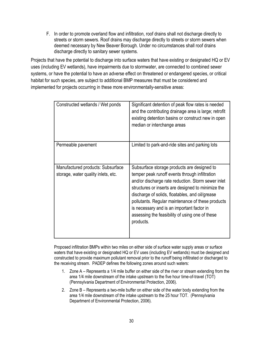F. In order to promote overland flow and infiltration, roof drains shall not discharge directly to streets or storm sewers. Roof drains may discharge directly to streets or storm sewers when deemed necessary by New Beaver Borough. Under no circumstances shall roof drains discharge directly to sanitary sewer systems.

Projects that have the potential to discharge into surface waters that have existing or designated HQ or EV uses (including EV wetlands), have impairments due to stormwater, are connected to combined sewer systems, or have the potential to have an adverse effect on threatened or endangered species, or critical habitat for such species, are subject to additional BMP measures that must be considered and implemented for projects occurring in these more environmentally-sensitive areas:

| Constructed wetlands / Wet ponds                                         | Significant detention of peak flow rates is needed<br>and the contributing drainage area is large; retrofit<br>existing detention basins or construct new in open<br>median or interchange areas                                                                                                                                                                                                                                |
|--------------------------------------------------------------------------|---------------------------------------------------------------------------------------------------------------------------------------------------------------------------------------------------------------------------------------------------------------------------------------------------------------------------------------------------------------------------------------------------------------------------------|
| Permeable pavement                                                       | Limited to park-and-ride sites and parking lots                                                                                                                                                                                                                                                                                                                                                                                 |
| Manufactured products: Subsurface<br>storage, water quality inlets, etc. | Subsurface storage products are designed to<br>temper peak runoff events through infiltration<br>and/or discharge rate reduction. Storm sewer inlet<br>structures or inserts are designed to minimize the<br>discharge of solids, floatables, and oil/grease<br>pollutants. Regular maintenance of these products<br>is necessary and is an important factor in<br>assessing the feasibility of using one of these<br>products. |

Proposed infiltration BMPs within two miles on either side of surface water supply areas or surface waters that have existing or designated HQ or EV uses (including EV wetlands) must be designed and constructed to provide maximum pollutant removal prior to the runoff being infiltrated or discharged to the receiving stream. PADEP defines the following zones around such waters:

- 1. Zone A Represents a 1/4 mile buffer on either side of the river or stream extending from the area 1/4 mile downstream of the intake upstream to the five hour time-of-travel (TOT) (Pennsylvania Department of Environmental Protection, 2006).
- 2. Zone B Represents a two-mile buffer on either side of the water body extending from the area 1/4 mile downstream of the intake upstream to the 25 hour TOT. (Pennsylvania Department of Environmental Protection, 2006).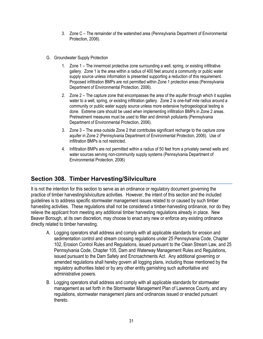- 3. Zone C The remainder of the watershed area (Pennsylvania Department of Environmental Protection, 2006).
- G. Groundwater Supply Protection
	- 1. Zone 1 The innermost protective zone surrounding a well, spring, or existing infiltrative gallery. Zone 1 is the area within a radius of 400 feet around a community or public water supply source unless information is presented supporting a reduction of this requirement. Proposed infiltration BMPs are not permitted within Zone 1 protection areas (Pennsylvania Department of Environmental Protection, 2006).
	- 2. Zone 2 The capture zone that encompasses the area of the aquifer through which it supplies water to a well, spring, or existing infiltration gallery. Zone 2 is one-half mile radius around a community or public water supply source unless more extensive hydrogeological testing is done. Extreme care should be used when implementing infiltration BMPs in Zone 2 areas. Pretreatment measures must be used to filter and diminish pollutants (Pennsylvania Department of Environmental Protection, 2006).
	- 3. Zone 3 The area outside Zone 2 that contributes significant recharge to the capture zone aquifer in Zone 2 (Pennsylvania Department of Environmental Protection, 2006). Use of infiltration BMPs is not restricted.
	- 4. Infiltration BMPs are not permitted within a radius of 50 feet from a privately owned wells and water sources serving non-community supply systems (Pennsylvania Department of Environmental Protection, 2006)

### <span id="page-32-0"></span>**Section 308. Timber Harvesting/Silviculture**

It is not the intention for this section to serve as an ordinance or regulatory document governing the practice of timber harvesting/silviculture activities. However, the intent of this section and the included guidelines is to address specific stormwater management issues related to or caused by such timber harvesting activities. These regulations shall not be considered a timber-harvesting ordinance, nor do they relieve the applicant from meeting any additional timber harvesting regulations already in place. New Beaver Borough, at its own discretion, may choose to enact any new or enforce any existing ordinance directly related to timber harvesting.

- A. Logging operators shall address and comply with all applicable standards for erosion and sedimentation control and stream crossing regulations under 25 Pennsylvania Code, Chapter 102, Erosion Control Rules and Regulations, issued pursuant to the Clean Stream Law, and 25 Pennsylvania Code, Chapter 105, Dam and Waterway Management Rules and Regulations, issued pursuant to the Dam Safety and Encroachments Act. Any additional governing or amended regulations shall hereby govern all logging plans, including those mentioned by the regulatory authorities listed or by any other entity garnishing such authoritative and administrative powers.
- B. Logging operators shall address and comply with all applicable standards for stormwater management as set forth in the Stormwater Management Plan of Lawrence County, and any regulations, stormwater management plans and ordinances issued or enacted pursuant thereto.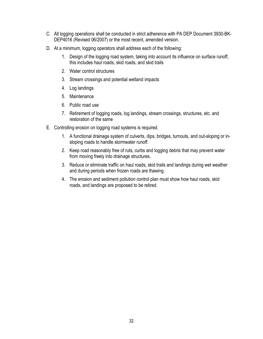- C. All logging operations shall be conducted in strict adherence with PA DEP Document 3930-BK-DEP4016 (Revised 06/2007) or the most recent, amended version.
- D. At a minimum, logging operators shall address each of the following:
	- 1. Design of the logging road system, taking into account its influence on surface runoff, this includes haul roads, skid roads, and skid trails
	- 2. Water control structures
	- 3. Stream crossings and potential wetland impacts
	- 4. Log landings
	- 5. Maintenance
	- 6. Public road use
	- 7. Retirement of logging roads, log landings, stream crossings, structures, etc. and restoration of the same
- E. Controlling erosion on logging road systems is required.
	- 1. A functional drainage system of culverts, dips, bridges, turnouts, and out-sloping or insloping roads to handle stormwater runoff.
	- 2. Keep road reasonably free of ruts, curbs and logging debris that may prevent water from moving freely into drainage structures.
	- 3. Reduce or eliminate traffic on haul roads, skid trails and landings during wet weather and during periods when frozen roads are thawing.
	- 4. The erosion and sediment pollution control plan must show how haul roads, skid roads, and landings are proposed to be retired.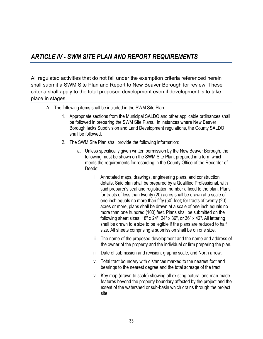# <span id="page-34-0"></span>*ARTICLE IV - SWM SITE PLAN AND REPORT REQUIREMENTS*

<span id="page-34-1"></span>All regulated activities that do not fall under the exemption criteria referenced herein shall submit a SWM Site Plan and Report to New Beaver Borough for review. These criteria shall apply to the total proposed development even if development is to take place in stages.

- A. The following items shall be included in the SWM Site Plan:
	- 1. Appropriate sections from the Municipal SALDO and other applicable ordinances shall be followed in preparing the SWM Site Plans. In instances where New Beaver Borough lacks Subdivision and Land Development regulations, the County SALDO shall be followed.
	- 2. The SWM Site Plan shall provide the following information:
		- a. Unless specifically given written permission by the New Beaver Borough, the following must be shown on the SWM Site Plan, prepared in a form which meets the requirements for recording in the County Office of the Recorder of Deeds:
			- i. Annotated maps, drawings, engineering plans, and construction details. Said plan shall be prepared by a Qualified Professional, with said preparer's seal and registration number affixed to the plan. Plans for tracts of less than twenty (20) acres shall be drawn at a scale of one inch equals no more than fifty (50) feet; for tracts of twenty (20) acres or more, plans shall be drawn at a scale of one inch equals no more than one hundred (100) feet. Plans shall be submitted on the following sheet sizes:  $18" \times 24"$ ,  $24" \times 36"$ , or  $36" \times 42"$ . All lettering shall be drawn to a size to be legible if the plans are reduced to half size. All sheets comprising a submission shall be on one size.
			- ii. The name of the proposed development and the name and address of the owner of the property and the individual or firm preparing the plan.
			- iii. Date of submission and revision, graphic scale, and North arrow.
			- iv. Total tract boundary with distances marked to the nearest foot and bearings to the nearest degree and the total acreage of the tract.
			- v. Key map (drawn to scale) showing all existing natural and man-made features beyond the property boundary affected by the project and the extent of the watershed or sub-basin which drains through the project site.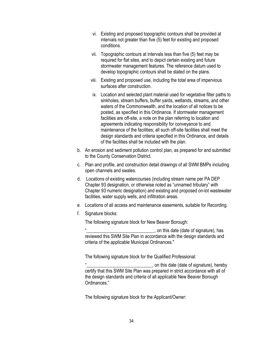- vi. Existing and proposed topographic contours shall be provided at intervals not greater than five (5) feet for existing and proposed conditions.
- vii. Topographic contours at intervals less than five (5) feet may be required for flat sites, and to depict certain existing and future stormwater management features. The reference datum used to develop topographic contours shall be stated on the plans.
- viii. Existing and proposed use, including the total area of impervious surfaces after construction.
- ix. Location and selected plant material used for vegetative filter paths to sinkholes, stream buffers, buffer yards, wetlands, streams, and other waters of the Commonwealth, and the location of all notices to be posted, as specified in this Ordinance. If stormwater management facilities are off-site, a note on the plan referring to location and agreements indicating responsibility for conveyance to and maintenance of the facilities; all such off-site facilities shall meet the design standards and criteria specified in this Ordinance, and details of the facilities shall be included with the plan.
- b. An erosion and sediment pollution control plan, as prepared for and submitted to the County Conservation District.
- c. Plan and profile, and construction detail drawings of all SWM BMPs including open channels and swales.
- d. Locations of existing watercourses (including stream name per PA DEP Chapter 93 designation, or otherwise noted as "unnamed tributary" with Chapter 93 numeric designation) and existing and proposed on-lot wastewater facilities, water supply wells, and infiltration areas.
- e. Locations of all access and maintenance easements, suitable for Recording.
- f. Signature blocks:

The following signature block for New Beaver Borough:

" \_\_\_\_\_\_\_\_\_\_\_\_\_\_\_\_\_\_\_\_\_\_\_\_\_\_\_\_\_, on this date (date of signature), has reviewed this SWM Site Plan in accordance with the design standards and criteria of the applicable Municipal Ordinances."

The following signature block for the Qualified Professional:

"\_\_\_\_\_\_\_\_\_\_\_\_\_\_\_\_\_\_\_\_\_\_\_\_\_\_\_\_, on this date (date of signature), hereby certify that this SWM Site Plan was prepared in strict accordance with all of the design standards and criteria of all applicable New Beaver Borough Ordinances."

The following signature block for the Applicant/Owner: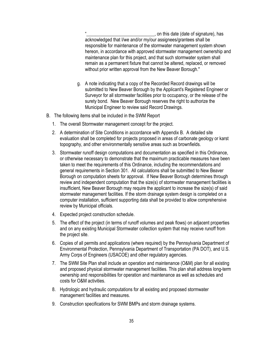"\_\_\_\_\_\_\_\_\_\_\_\_\_\_\_\_\_\_\_\_\_\_\_\_\_\_\_\_\_, on this date (date of signature), has acknowledged that I/we and/or my/our assignees/grantees shall be responsible for maintenance of the stormwater management system shown hereon, in accordance with approved stormwater management ownership and maintenance plan for this project, and that such stormwater system shall remain as a permanent fixture that cannot be altered, replaced, or removed without prior written approval from the New Beaver Borough."

- g. A note indicating that a copy of the Recorded Record drawings will be submitted to New Beaver Borough by the Applicant's Registered Engineer or Surveyor for all stormwater facilities prior to occupancy, or the release of the surety bond. New Beaver Borough reserves the right to authorize the Municipal Engineer to review said Record Drawings.
- B. The following items shall be included in the SWM Report
	- 1. The overall Stormwater management concept for the project.
	- 2. A determination of Site Conditions in accordance with Appendix B. A detailed site evaluation shall be completed for projects proposed in areas of carbonate geology or karst topography, and other environmentally sensitive areas such as brownfields.
	- 3. Stormwater runoff design computations and documentation as specified in this Ordinance, or otherwise necessary to demonstrate that the maximum practicable measures have been taken to meet the requirements of this Ordinance, including the recommendations and general requirements in Section 301. All calculations shall be submitted to New Beaver Borough on computation sheets for approval. If New Beaver Borough determines through review and independent computation that the size(s) of stormwater management facilities is insufficient, New Beaver Borough may require the applicant to increase the size(s) of said stormwater management facilities. If the storm drainage system design is completed on a computer installation, sufficient supporting data shall be provided to allow comprehensive review by Municipal officials.
	- 4. Expected project construction schedule.
	- 5. The effect of the project (in terms of runoff volumes and peak flows) on adjacent properties and on any existing Municipal Stormwater collection system that may receive runoff from the project site.
	- 6. Copies of all permits and applications (where required) by the Pennsylvania Department of Environmental Protection, Pennsylvania Department of Transportation (PA DOT), and U.S. Army Corps of Engineers (USACOE) and other regulatory agencies.
	- 7. The SWM Site Plan shall include an operation and maintenance (O&M) plan for all existing and proposed physical stormwater management facilities. This plan shall address long-term ownership and responsibilities for operation and maintenance as well as schedules and costs for O&M activities.
	- 8. Hydrologic and hydraulic computations for all existing and proposed stormwater management facilities and measures.
	- 9. Construction specifications for SWM BMPs and storm drainage systems.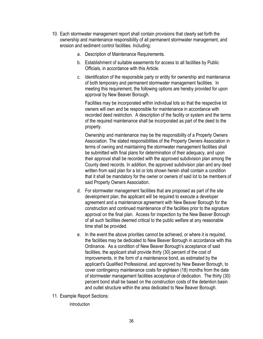- 10. Each stormwater management report shall contain provisions that clearly set forth the ownership and maintenance responsibility of all permanent stormwater management, and erosion and sediment control facilities. Including:
	- a. Description of Maintenance Requirements.
	- b. Establishment of suitable easements for access to all facilities by Public Officials, in accordance with this Article.
	- c. Identification of the responsible party or entity for ownership and maintenance of both temporary and permanent stormwater management facilities. In meeting this requirement, the following options are hereby provided for upon approval by New Beaver Borough.

Facilities may be incorporated within individual lots so that the respective lot owners will own and be responsible for maintenance in accordance with recorded deed restriction. A description of the facility or system and the terms of the required maintenance shall be incorporated as part of the deed to the property.

Ownership and maintenance may be the responsibility of a Property Owners Association. The stated responsibilities of the Property Owners Association in terms of owning and maintaining the stormwater management facilities shall be submitted with final plans for determination of their adequacy, and upon their approval shall be recorded with the approved subdivision plan among the County deed records. In addition, the approved subdivision plan and any deed written from said plan for a lot or lots shown herein shall contain a condition that it shall be mandatory for the owner or owners of said lot to be members of said Property Owners Association.

- d. For stormwater management facilities that are proposed as part of the site development plan, the applicant will be required to execute a developer agreement and a maintenance agreement with New Beaver Borough for the construction and continued maintenance of the facilities prior to the signature approval on the final plan. Access for inspection by the New Beaver Borough of all such facilities deemed critical to the public welfare at any reasonable time shall be provided.
- e. In the event the above priorities cannot be achieved, or where it is required, the facilities may be dedicated to New Beaver Borough in accordance with this Ordinance. As a condition of New Beaver Borough's acceptance of said facilities, the applicant shall provide thirty (30) percent of the cost of improvements, in the form of a maintenance bond, as estimated by the applicant's Qualified Professional, and approved by New Beaver Borough, to cover contingency maintenance costs for eighteen (18) months from the date of stormwater management facilities acceptance of dedication. The thirty (30) percent bond shall be based on the construction costs of the detention basin and outlet structure within the area dedicated to New Beaver Borough.
- 11. Example Report Sections:

Introduction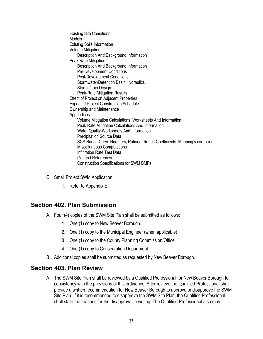Existing Site Conditions Models Existing Soils Information Volume Mitigation Description And Background Information Peak Rate Mitigation Description And Background Information Pre-Development Conditions Post-Development Conditions Stormwater/Detention Basin Hydraulics Storm Drain Design Peak-Rate Mitigation Results Effect of Project on Adjacent Properties Expected Project Construction Schedule Ownership and Maintenance Appendices Volume Mitigation Calculations, Worksheets And Information Peak Rate Mitigation Calculations And Information Water Quality Worksheets And Information Precipitation Source Data SCS Runoff Curve Numbers, Rational Runoff Coefficients, Manning's coefficients Miscellaneous Computations Infiltration Rate Test Data General References Construction Specifications for SWM BMPs

- C. Small Project SWM Application
	- 1. Refer to Appendix E

#### <span id="page-38-0"></span>**Section 402. Plan Submission**

- A. Four (4) copies of the SWM Site Plan shall be submitted as follows:
	- 1. One (1) copy to New Beaver Borough.
	- 2. One (1) copy to the Municipal Engineer (when applicable)
	- 3. One (1) copy to the County Planning Commission/Office
	- 4. One (1) copy to Conservation Department
- B. Additional copies shall be submitted as requested by New Beaver Borough.

#### <span id="page-38-1"></span>**Section 403. Plan Review**

A. The SWM Site Plan shall be reviewed by a Qualified Professional for New Beaver Borough for consistency with the provisions of this ordinance. After review, the Qualified Professional shall provide a written recommendation for New Beaver Borough to approve or disapprove the SWM Site Plan. If it is recommended to disapprove the SWM Site Plan, the Qualified Professional shall state the reasons for the disapproval in writing. The Qualified Professional also may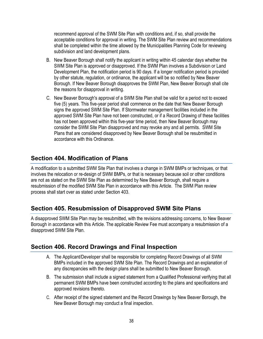recommend approval of the SWM Site Plan with conditions and, if so, shall provide the acceptable conditions for approval in writing. The SWM Site Plan review and recommendations shall be completed within the time allowed by the Municipalities Planning Code for reviewing subdivision and land development plans.

- B. New Beaver Borough shall notify the applicant in writing within 45 calendar days whether the SWM Site Plan is approved or disapproved. If the SWM Plan involves a Subdivision or Land Development Plan, the notification period is 90 days. If a longer notification period is provided by other statute, regulation, or ordinance, the applicant will be so notified by New Beaver Borough. If New Beaver Borough disapproves the SWM Plan, New Beaver Borough shall cite the reasons for disapproval in writing.
- C. New Beaver Borough's approval of a SWM Site Plan shall be valid for a period not to exceed five (5) years. This five-year period shall commence on the date that New Beaver Borough signs the approved SWM Site Plan. If Stormwater management facilities included in the approved SWM Site Plan have not been constructed, or if a Record Drawing of these facilities has not been approved within this five-year time period, then New Beaver Borough may consider the SWM Site Plan disapproved and may revoke any and all permits. SWM Site Plans that are considered disapproved by New Beaver Borough shall be resubmitted in accordance with this Ordinance.

### <span id="page-39-0"></span>**Section 404. Modification of Plans**

A modification to a submitted SWM Site Plan that involves a change in SWM BMPs or techniques, or that involves the relocation or re-design of SWM BMPs, or that is necessary because soil or other conditions are not as stated on the SWM Site Plan as determined by New Beaver Borough, shall require a resubmission of the modified SWM Site Plan in accordance with this Article. The SWM Plan review process shall start over as stated under Section 403.

### <span id="page-39-1"></span>**Section 405. Resubmission of Disapproved SWM Site Plans**

A disapproved SWM Site Plan may be resubmitted, with the revisions addressing concerns, to New Beaver Borough in accordance with this Article. The applicable Review Fee must accompany a resubmission of a disapproved SWM Site Plan.

### <span id="page-39-2"></span>**Section 406. Record Drawings and Final Inspection**

- A. The Applicant/Developer shall be responsible for completing Record Drawings of all SWM BMPs included in the approved SWM Site Plan. The Record Drawings and an explanation of any discrepancies with the design plans shall be submitted to New Beaver Borough.
- B. The submission shall include a signed statement from a Qualified Professional verifying that all permanent SWM BMPs have been constructed according to the plans and specifications and approved revisions thereto.
- C. After receipt of the signed statement and the Record Drawings by New Beaver Borough, the New Beaver Borough may conduct a final inspection.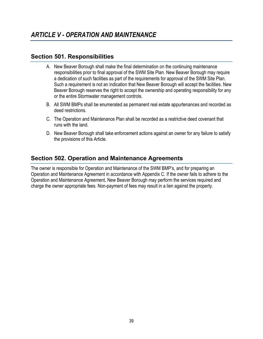#### <span id="page-40-1"></span><span id="page-40-0"></span>**Section 501. Responsibilities**

- A. New Beaver Borough shall make the final determination on the continuing maintenance responsibilities prior to final approval of the SWM Site Plan. New Beaver Borough may require a dedication of such facilities as part of the requirements for approval of the SWM Site Plan. Such a requirement is not an indication that New Beaver Borough will accept the facilities. New Beaver Borough reserves the right to accept the ownership and operating responsibility for any or the entire Stormwater management controls.
- B. All SWM BMPs shall be enumerated as permanent real estate appurtenances and recorded as deed restrictions.
- C. The Operation and Maintenance Plan shall be recorded as a restrictive deed covenant that runs with the land.
- D. New Beaver Borough shall take enforcement actions against an owner for any failure to satisfy the provisions of this Article.

### <span id="page-40-2"></span>**Section 502. Operation and Maintenance Agreements**

The owner is responsible for Operation and Maintenance of the SWM BMP's, and for preparing an Operation and Maintenance Agreement in accordance with Appendix C. If the owner fails to adhere to the Operation and Maintenance Agreement, New Beaver Borough may perform the services required and charge the owner appropriate fees. Non-payment of fees may result in a lien against the property.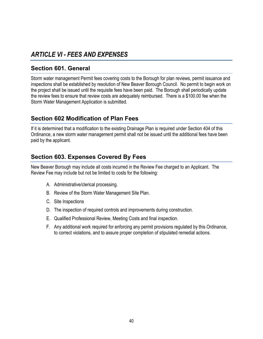# <span id="page-41-0"></span>*ARTICLE VI - FEES AND EXPENSES*

#### <span id="page-41-1"></span>**Section 601. General**

Storm water management Permit fees covering costs to the Borough for plan reviews, permit issuance and inspections shall be established by resolution of New Beaver Borough Council. No permit to begin work on the project shall be issued until the requisite fees have been paid. The Borough shall periodically update the review fees to ensure that review costs are adequately reimbursed. There is a \$100.00 fee when the Storm Water Management Application is submitted.

### <span id="page-41-2"></span>**Section 602 Modification of Plan Fees**

If it is determined that a modification to the existing Drainage Plan is required under Section 404 of this Ordinance, a new storm water management permit shall not be issued until the additional fees have been paid by the applicant.

### <span id="page-41-3"></span>**Section 603. Expenses Covered By Fees**

New Beaver Borough may include all costs incurred in the Review Fee charged to an Applicant. The Review Fee may include but not be limited to costs for the following:

- A. Administrative/clerical processing.
- B. Review of the Storm Water Management Site Plan.
- C. Site Inspections
- D. The inspection of required controls and improvements during construction.
- E. Qualified Professional Review, Meeting Costs and final inspection.
- F. Any additional work required for enforcing any permit provisions regulated by this Ordinance, to correct violations, and to assure proper completion of stipulated remedial actions.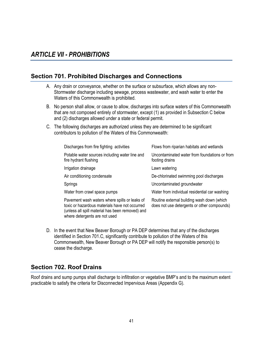#### <span id="page-42-1"></span><span id="page-42-0"></span>**Section 701. Prohibited Discharges and Connections**

- A. Any drain or conveyance, whether on the surface or subsurface, which allows any non-Stormwater discharge including sewage, process wastewater, and wash water to enter the Waters of this Commonwealth is prohibited.
- B. No person shall allow, or cause to allow, discharges into surface waters of this Commonwealth that are not composed entirely of stormwater, except (1) as provided in Subsection C below and (2) discharges allowed under a state or federal permit.
- C. The following discharges are authorized unless they are determined to be significant contributors to pollution of the Waters of this Commonwealth:

| Discharges from fire fighting activities                                                                                                                                             | Flows from riparian habitats and wetlands                                                 |
|--------------------------------------------------------------------------------------------------------------------------------------------------------------------------------------|-------------------------------------------------------------------------------------------|
| Potable water sources including water line and<br>fire hydrant flushing                                                                                                              | Uncontaminated water from foundations or from<br>footing drains                           |
| Irrigation drainage                                                                                                                                                                  | Lawn watering                                                                             |
| Air conditioning condensate                                                                                                                                                          | De-chlorinated swimming pool discharges                                                   |
| Springs                                                                                                                                                                              | Uncontaminated groundwater                                                                |
| Water from crawl space pumps                                                                                                                                                         | Water from individual residential car washing                                             |
| Pavement wash waters where spills or leaks of<br>toxic or hazardous materials have not occurred<br>(unless all spill material has been removed) and<br>where detergents are not used | Routine external building wash down (which<br>does not use detergents or other compounds) |

D. In the event that New Beaver Borough or PA DEP determines that any of the discharges identified in Section 701.C, significantly contribute to pollution of the Waters of this Commonwealth, New Beaver Borough or PA DEP will notify the responsible person(s) to cease the discharge.

#### <span id="page-42-2"></span>**Section 702. Roof Drains**

Roof drains and sump pumps shall discharge to infiltration or vegetative BMP's and to the maximum extent practicable to satisfy the criteria for Disconnected Impervious Areas (Appendix G).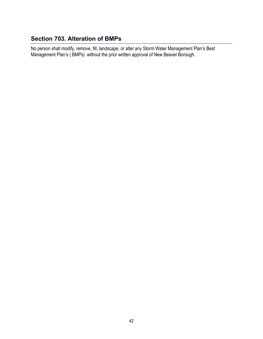## <span id="page-43-0"></span>**Section 703. Alteration of BMPs**

No person shall modify, remove, fill, landscape, or alter any Storm Water Management Plan's Best Management Plan's ( BMPs) without the prior written approval of New Beaver Borough.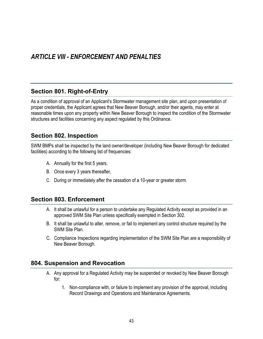### <span id="page-44-1"></span><span id="page-44-0"></span>**Section 801. Right-of-Entry**

As a condition of approval of an Applicant's Stormwater management site plan, and upon presentation of proper credentials, the Applicant agrees that New Beaver Borough, and/or their agents, may enter at reasonable times upon any property within New Beaver Borough to inspect the condition of the Stormwater structures and facilities concerning any aspect regulated by this Ordinance.

### <span id="page-44-2"></span>**Section 802. Inspection**

SWM BMPs shall be inspected by the land owner/developer (including New Beaver Borough for dedicated facilities) according to the following list of frequencies:

- A. Annually for the first 5 years.
- B. Once every 3 years thereafter,
- C. During or immediately after the cessation of a 10-year or greater storm.

#### <span id="page-44-3"></span>**Section 803. Enforcement**

- A. It shall be unlawful for a person to undertake any Regulated Activity except as provided in an approved SWM Site Plan unless specifically exempted in Section 302.
- B. It shall be unlawful to alter, remove, or fail to implement any control structure required by the SWM Site Plan.
- C. Compliance Inspections regarding implementation of the SWM Site Plan are a responsibility of New Beaver Borough.

#### <span id="page-44-4"></span>**804. Suspension and Revocation**

- A. Any approval for a Regulated Activity may be suspended or revoked by New Beaver Borough for:
	- 1. Non-compliance with, or failure to implement any provision of the approval, including Record Drawings and Operations and Maintenance Agreements.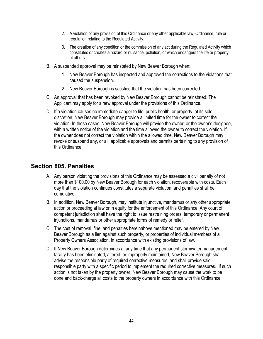- 2. A violation of any provision of this Ordinance or any other applicable law, Ordinance, rule or regulation relating to the Regulated Activity.
- 3. The creation of any condition or the commission of any act during the Regulated Activity which constitutes or creates a hazard or nuisance, pollution, or which endangers the life or property of others.
- B. A suspended approval may be reinstated by New Beaver Borough when:
	- 1. New Beaver Borough has inspected and approved the corrections to the violations that caused the suspension.
	- 2. New Beaver Borough is satisfied that the violation has been corrected.
- C. An approval that has been revoked by New Beaver Borough cannot be reinstated. The Applicant may apply for a new approval under the provisions of this Ordinance.
- D. If a violation causes no immediate danger to life, public health, or property, at its sole discretion, New Beaver Borough may provide a limited time for the owner to correct the violation. In these cases, New Beaver Borough will provide the owner, or the owner's designee, with a written notice of the violation and the time allowed the owner to correct the violation. If the owner does not correct the violation within the allowed time, New Beaver Borough may revoke or suspend any, or all, applicable approvals and permits pertaining to any provision of this Ordinance.

#### <span id="page-45-0"></span>**Section 805. Penalties**

- A. Any person violating the provisions of this Ordinance may be assessed a civil penalty of not more than \$100.00 by New Beaver Borough for each violation, recoverable with costs. Each day that the violation continues constitutes a separate violation, and penalties shall be cumulative.
- B. In addition, New Beaver Borough, may institute injunctive, mandamus or any other appropriate action or proceeding at law or in equity for the enforcement of this Ordinance. Any court of competent jurisdiction shall have the right to issue restraining orders, temporary or permanent injunctions, mandamus or other appropriate forms of remedy or relief.
- C. The cost of removal, fine, and penalties hereinabove mentioned may be entered by New Beaver Borough as a lien against such property, or properties of individual members of a Property Owners Association, in accordance with existing provisions of law.
- D. If New Beaver Borough determines at any time that any permanent stormwater management facility has been eliminated, altered, or improperly maintained, New Beaver Borough shall advise the responsible party of required corrective measures, and shall provide said responsible party with a specific period to implement the required corrective measures. If such action is not taken by the property owner, New Beaver Borough may cause the work to be done and back-charge all costs to the property owners in accordance with this Ordinance.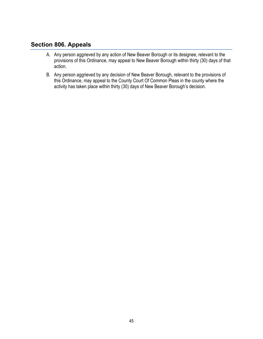#### <span id="page-46-0"></span>**Section 806. Appeals**

- A. Any person aggrieved by any action of New Beaver Borough or its designee, relevant to the provisions of this Ordinance, may appeal to New Beaver Borough within thirty (30) days of that action.
- B. Any person aggrieved by any decision of New Beaver Borough, relevant to the provisions of this Ordinance, may appeal to the County Court Of Common Pleas in the county where the activity has taken place within thirty (30) days of New Beaver Borough's decision.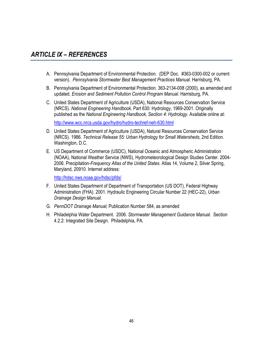# <span id="page-47-0"></span>*ARTICLE IX – REFERENCES*

- A. Pennsylvania Department of Environmental Protection. (DEP Doc. #363-0300-002 or current version). *Pennsylvania Stormwater Best Management Practices Manual*. Harrisburg, PA.
- B. Pennsylvania Department of Environmental Protection. 363-2134-008 (2000), as amended and updated. *Erosion and Sediment Pollution Control Program Manual*. Harrisburg, PA.
- C. United States Department of Agriculture (USDA), National Resources Conservation Service (NRCS). *National Engineering Handbook*. Part 630: Hydrology, 1969-2001. Originally published as the *National Engineering Handbook, Section 4: Hydrology*. Available online at:

<http://www.wcc.nrcs.usda.gov/hydro/hydro-techref-neh-630.html>

- D. United States Department of Agriculture (USDA), Natural Resources Conservation Service (NRCS). 1986. *Technical Release 55: Urban Hydrology for Small Watersheds*, 2nd Edition. Washington, D.C.
- E. US Department of Commerce (USDC), National Oceanic and Atmospheric Administration (NOAA), National Weather Service (NWS), Hydrometeorological Design Studies Center. 2004- 2006. Precipitation*-Frequency Atlas of the United States*. Atlas 14, Volume 2, Silver Spring, Maryland, 20910. Internet address:

<http://hdsc.nws.noaa.gov/hdsc/pfds/>

- F. United States Department of Department of Transportation (US DOT), Federal Highway Administration (FHA). 2001. Hydraulic Engineering Circular Number 22 (HEC-22), *Urban Drainage Design Manual.*
- G. *PennDOT Drainage Manual,* Publication Number 584, as amended
- H. Philadelphia Water Department. 2006. *Stormwater Management Guidance Manual*. Section 4.2.2: Integrated Site Design. Philadelphia, PA.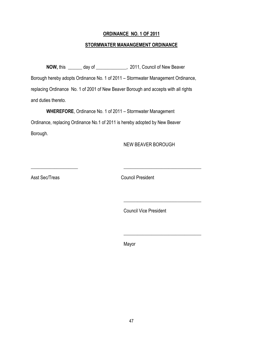#### **ORDINANCE NO. 1 OF 2011**

#### **STORMWATER MANANGEMENT ORDINANCE**

**NOW,** this \_\_\_\_\_\_ day of \_\_\_\_\_\_\_\_\_\_\_\_\_, 2011, Council of New Beaver Borough hereby adopts Ordinance No. 1 of 2011 – Stormwater Management Ordinance, replacing Ordinance No. 1 of 2001 of New Beaver Borough and accepts with all rights and duties thereto.

\_\_\_\_\_\_\_\_\_\_\_\_\_\_\_\_\_\_\_\_ \_\_\_\_\_\_\_\_\_\_\_\_\_\_\_\_\_\_\_\_\_\_\_\_\_\_\_\_\_\_\_\_\_

 $\overline{\phantom{a}}$  , which is a set of the set of the set of the set of the set of the set of the set of the set of the set of the set of the set of the set of the set of the set of the set of the set of the set of the set of th

**WHEREFORE**, Ordinance No. 1 of 2011 – Stormwater Management Ordinance, replacing Ordinance No.1 of 2011 is hereby adopted by New Beaver Borough.

NEW BEAVER BOROUGH

Asst Sec/Treas Council President

Council Vice President

**Mayor** Mayor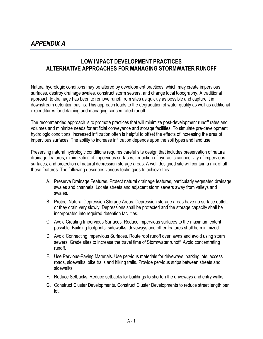### <span id="page-50-0"></span>**LOW IMPACT DEVELOPMENT PRACTICES ALTERNATIVE APPROACHES FOR MANAGING STORMWATER RUNOFF**

Natural hydrologic conditions may be altered by development practices, which may create impervious surfaces, destroy drainage swales, construct storm sewers, and change local topography. A traditional approach to drainage has been to remove runoff from sites as quickly as possible and capture it in downstream detention basins. This approach leads to the degradation of water quality as well as additional expenditures for detaining and managing concentrated runoff.

The recommended approach is to promote practices that will minimize post-development runoff rates and volumes and minimize needs for artificial conveyance and storage facilities. To simulate pre-development hydrologic conditions, increased infiltration often is helpful to offset the effects of increasing the area of impervious surfaces. The ability to increase infiltration depends upon the soil types and land use.

Preserving natural hydrologic conditions requires careful site design that includes preservation of natural drainage features, minimization of impervious surfaces, reduction of hydraulic connectivity of impervious surfaces, and protection of natural depression storage areas. A well-designed site will contain a mix of all these features. The following describes various techniques to achieve this:

- A. Preserve Drainage Features. Protect natural drainage features, particularly vegetated drainage swales and channels. Locate streets and adjacent storm sewers away from valleys and swales.
- B. Protect Natural Depression Storage Areas. Depression storage areas have no surface outlet, or they drain very slowly. Depressions shall be protected and the storage capacity shall be incorporated into required detention facilities.
- C. Avoid Creating Impervious Surfaces. Reduce impervious surfaces to the maximum extent possible. Building footprints, sidewalks, driveways and other features shall be minimized.
- D. Avoid Connecting Impervious Surfaces. Route roof runoff over lawns and avoid using storm sewers. Grade sites to increase the travel time of Stormwater runoff. Avoid concentrating runoff.
- E. Use Pervious-Paving Materials. Use pervious materials for driveways, parking lots, access roads, sidewalks, bike trails and hiking trails. Provide pervious strips between streets and sidewalks.
- F. Reduce Setbacks. Reduce setbacks for buildings to shorten the driveways and entry walks.
- G. Construct Cluster Developments. Construct Cluster Developments to reduce street length per lot.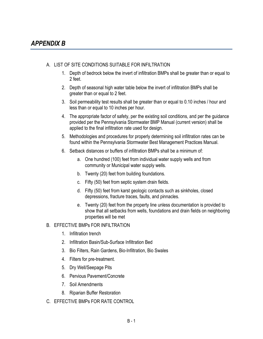- <span id="page-52-0"></span>A. LIST OF SITE CONDITIONS SUITABLE FOR INFILTRATION
	- 1. Depth of bedrock below the invert of infiltration BMPs shall be greater than or equal to 2 feet.
	- 2. Depth of seasonal high water table below the invert of infiltration BMPs shall be greater than or equal to 2 feet.
	- 3. Soil permeability test results shall be greater than or equal to 0.10 inches / hour and less than or equal to 10 inches per hour.
	- 4. The appropriate factor of safety, per the existing soil conditions, and per the guidance provided per the Pennsylvania Stormwater BMP Manual (current version) shall be applied to the final infiltration rate used for design.
	- 5. Methodologies and procedures for properly determining soil infiltration rates can be found within the Pennsylvania Stormwater Best Management Practices Manual.
	- 6. Setback distances or buffers of infiltration BMPs shall be a minimum of:
		- a. One hundred (100) feet from individual water supply wells and from community or Municipal water supply wells.
		- b. Twenty (20) feet from building foundations.
		- c. Fifty (50) feet from septic system drain fields.
		- d. Fifty (50) feet from karst geologic contacts such as sinkholes, closed depressions, fracture traces, faults, and pinnacles.
		- e. Twenty (20) feet from the property line unless documentation is provided to show that all setbacks from wells, foundations and drain fields on neighboring properties will be met
- B. EFFECTIVE BMPs FOR INFILTRATION
	- 1. Infiltration trench
	- 2. Infiltration Basin/Sub-Surface Infiltration Bed
	- 3. Bio Filters, Rain Gardens, Bio-Infiltration, Bio Swales
	- 4. Filters for pre-treatment.
	- 5. Dry Well/Seepage Pits
	- 6. Pervious Pavement/Concrete
	- 7. Soil Amendments
	- 8. Riparian Buffer Restoration
- C. EFFECTIVE BMPs FOR RATE CONTROL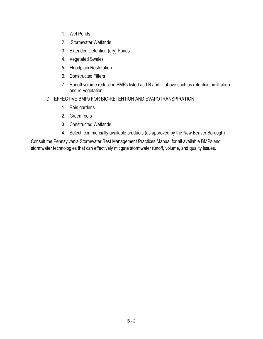- 1. Wet Ponds
- 2. Stormwater Wetlands
- 3. Extended Detention (dry) Ponds
- 4. Vegetated Swales
- 5. Floodplain Restoration
- 6. Constructed Filters
- 7. Runoff volume reduction BMPs listed and B and C above such as retention, infiltration and re-vegetation.
- D. EFFECTIVE BMPs FOR BIO-RETENTION AND EVAPOTRANSPIRATION
	- 1. Rain gardens
	- 2. Green roofs
	- 3. Constructed Wetlands
	- 4. Select, commercially available products (as approved by the New Beaver Borough)

Consult the Pennsylvania Stormwater Best Management Practices Manual for all available BMPs and stormwater technologies that can effectively mitigate stormwater runoff, volume, and quality issues.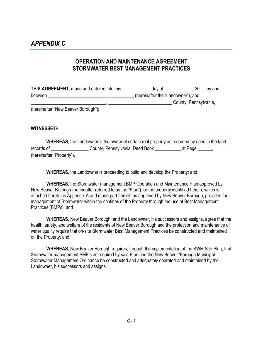#### <span id="page-54-0"></span>**OPERATION AND MAINTENANCE AGREEMENT STORMWATER BEST MANAGEMENT PRACTICES**

| <b>THIS AGREEMENT</b> , made and entered into this | dav of<br>$20$ , by and            |  |  |
|----------------------------------------------------|------------------------------------|--|--|
| between                                            | (hereinafter the "Landowner"), and |  |  |
|                                                    | County, Pennsylvania,              |  |  |
| $\theta$                                           |                                    |  |  |

(hereinafter "New Beaver Borough");

#### <span id="page-54-1"></span>**WITNESSETH**

**WHEREAS**, the Landowner is the owner of certain real property as recorded by deed in the land records of \_\_\_\_\_\_\_\_\_\_\_\_\_\_\_\_\_\_County, Pennsylvania, Deed Book \_\_\_\_\_\_\_\_\_\_ at Page \_\_\_\_\_, (hereinafter "Property").

**WHEREAS**, the Landowner is proceeding to build and develop the Property; and

**WHEREAS**, the Stormwater management BMP Operation and Maintenance Plan approved by New Beaver Borough (hereinafter referred to as the "Plan") for the property identified herein, which is attached hereto as Appendix A and made part hereof, as approved by New Beaver Borough, provides for management of Stormwater within the confines of the Property through the use of Best Management Practices (BMPs); and

**WHEREAS**, New Beaver Borough, and the Landowner, his successors and assigns, agree that the health, safety, and welfare of the residents of New Beaver Borough and the protection and maintenance of water quality require that on-site Stormwater Best Management Practices be constructed and maintained on the Property; and

**WHEREAS**, New Beaver Borough requires, through the implementation of the SWM Site Plan, that Stormwater management BMP's as required by said Plan and the New Beaver 'Borough Municipal Stormwater Management Ordinance be constructed and adequately operated and maintained by the Landowner, his successors and assigns.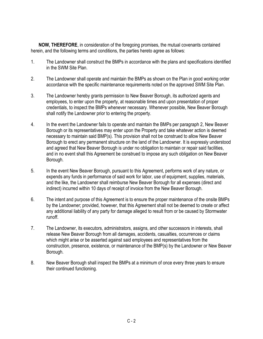**NOW, THEREFORE**, in consideration of the foregoing promises, the mutual covenants contained herein, and the following terms and conditions, the parties hereto agree as follows:

- 1. The Landowner shall construct the BMPs in accordance with the plans and specifications identified in the SWM Site Plan.
- 2. The Landowner shall operate and maintain the BMPs as shown on the Plan in good working order accordance with the specific maintenance requirements noted on the approved SWM Site Plan.
- 3. The Landowner hereby grants permission to New Beaver Borough, its authorized agents and employees, to enter upon the property, at reasonable times and upon presentation of proper credentials, to inspect the BMPs whenever necessary. Whenever possible, New Beaver Borough shall notify the Landowner prior to entering the property.
- 4. In the event the Landowner fails to operate and maintain the BMPs per paragraph 2, New Beaver Borough or its representatives may enter upon the Property and take whatever action is deemed necessary to maintain said BMP(s). This provision shall not be construed to allow New Beaver Borough to erect any permanent structure on the land of the Landowner. It is expressly understood and agreed that New Beaver Borough is under no obligation to maintain or repair said facilities, and in no event shall this Agreement be construed to impose any such obligation on New Beaver Borough.
- 5. In the event New Beaver Borough, pursuant to this Agreement, performs work of any nature, or expends any funds in performance of said work for labor, use of equipment, supplies, materials, and the like, the Landowner shall reimburse New Beaver Borough for all expenses (direct and indirect) incurred within 10 days of receipt of invoice from the New Beaver Borough.
- 6. The intent and purpose of this Agreement is to ensure the proper maintenance of the onsite BMPs by the Landowner; provided, however, that this Agreement shall not be deemed to create or affect any additional liability of any party for damage alleged to result from or be caused by Stormwater runoff.
- 7. The Landowner, its executors, administrators, assigns, and other successors in interests, shall release New Beaver Borough from all damages, accidents, casualties, occurrences or claims which might arise or be asserted against said employees and representatives from the construction, presence, existence, or maintenance of the BMP(s) by the Landowner or New Beaver Borough.
- 8. New Beaver Borough shall inspect the BMPs at a minimum of once every three years to ensure their continued functioning.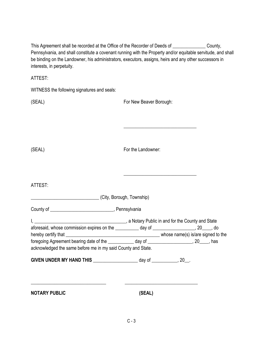| This Agreement shall be recorded at the Office of the Recorder of Deeds of <b>Consense Accept</b> County,<br>Pennsylvania, and shall constitute a covenant running with the Property and/or equitable servitude, and shall<br>be binding on the Landowner, his administrators, executors, assigns, heirs and any other successors in<br>interests, in perpetuity. |                                                                                                                      |  |
|-------------------------------------------------------------------------------------------------------------------------------------------------------------------------------------------------------------------------------------------------------------------------------------------------------------------------------------------------------------------|----------------------------------------------------------------------------------------------------------------------|--|
| ATTEST:                                                                                                                                                                                                                                                                                                                                                           |                                                                                                                      |  |
| WITNESS the following signatures and seals:                                                                                                                                                                                                                                                                                                                       |                                                                                                                      |  |
| (SEAL)                                                                                                                                                                                                                                                                                                                                                            | For New Beaver Borough:                                                                                              |  |
|                                                                                                                                                                                                                                                                                                                                                                   |                                                                                                                      |  |
| (SEAL)                                                                                                                                                                                                                                                                                                                                                            | For the Landowner:                                                                                                   |  |
| ATTEST:                                                                                                                                                                                                                                                                                                                                                           |                                                                                                                      |  |
| (City, Borough, Township)                                                                                                                                                                                                                                                                                                                                         |                                                                                                                      |  |
| I, 1. 2008 [1] All and for the County and State<br>aforesaid, whose commission expires on the ___________ day of __________________, 20_____, do<br>hereby certify that<br>foregoing Agreement bearing date of the ____________ day of ____________________, 20____, has<br>acknowledged the same before me in my said County and State.                          | whose name(s) is/are signed to the                                                                                   |  |
| GIVEN UNDER MY HAND THIS _______________________ day of ____________, 20__.<br><u> 1989 - Johann John Stone, mensk politik en og den som forskeller og store og store og store og store og s</u>                                                                                                                                                                  | <u> Alexandria de la contrada de la contrada de la contrada de la contrada de la contrada de la contrada de la c</u> |  |
| <b>NOTARY PUBLIC</b>                                                                                                                                                                                                                                                                                                                                              | (SEAL)                                                                                                               |  |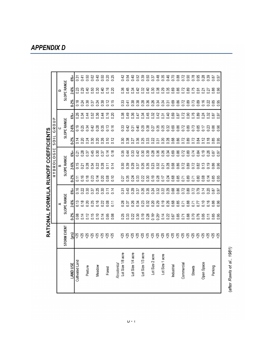#### $0.50$ 0.62  $0.40$ <br> $0.50$ 0.25<br>0.25 0.46<br>0.70 0.88<br>0.72  $0.90$ 0.78<br>0.95 0.39  $6% +$  $\overline{0.31}$  $0.41$  $0.42$  $0.38$ <br>0.0.0  $0.50$ 0.37  $0.48$ <br> $0.35$  $0.28$ 18.0<br>18.0 SLOPE RANGE 2-6%  $\overline{\frac{23}{2}}$ 0.29 0.40 0.50 0.30 0.40 0.16 0.20  $0.45$ 0.34  $0.42$ 0.32 0.40  $0.30$ 0.38 0.29 0.35 0.69 0.86 0.72 0.89  $0.75$  $0.21$ 0.27 0.86<br>0.96 0.36  $0.91$  $\overline{\phantom{0}}$  $0 - 2\%$  $0.18$ 3<br>3<br>0<br>0<br>0<br>0<br>0<br>0<br>0 0.30  $0.12$ 0.36  $0.34$ 0.24  $0.31$ 0.69 0.86 0.72 0.89 0.73  $0.16$  $0.15$ 0.30 0.38 0.28 0.22  $0.41$  $0.85$ 0.95  $6% +$ 0.36  $0.16$ 0.45 0.34 0.44 0.52  $0.44$ 0.20  $0.49$  $0.36$  $0.47$  $0.34$ 0.32 0.42 0.40  $0.69$  $0.87\,$ 0.72  $0.90$ 0.76 0.89  $0.24$ 0.32  $0.31$ 187<br>18.0 SLOPE RANGE HYDROLOGIC SOIL GROUP 2-6%  $\frac{0.19}{0.25}$ 0.34  $0.42$ 0.28 0.35  $0.13$  $0.16$  $0.40$ 0.29 0.38  $0.27$  $0.35$ 0.32 0.69 0.86 0.72 0.89 0.73 0.85  $0.17$ 0.23 0.86 0.96  $0.33$ <br> $0.42$  $0.31$ Ğ RATIONAL FORMULA RUNOFF COEFFICIENTS  $0 - 2\%$  $0.14$ 0.24  $0.30$ 0.20 0.26  $0.10$  $0.22$ <br> $0.31$ 0.28 0.68 0.86 0.85<br>0.95 0.20  $0.12$ 0.36  $0.25$  $0.33$ 0.20 0.72 0.89 0.72 0.84  $0.12$  $0.18$ 83<br>0.38 0.27 0.45  $0.14$ 0.69  $0.19$  $6% +$ 0.37 0.30 0.37 0.28  $0.18$  $0.35$ <br>0.44  $0.33$  $0.42$  $0.39$  $0.36$ 0.26  $0.34$ 0.86 0.72  $0.89$  $0.74$ 0.26  $\overline{0.21}$  $0.84$  $0.87$  $0.97$ SLOPE RANGE 2-6%  $\frac{6}{15}$  $0.19$  $0.21$ <br> $0.28$ 0.34 0.22 0.28  $0.11$  $0.28$ 0.68  $0.14$ 0.39 0.29 0.37 0.26 0.35  $0.32$  $0.21$ 0.86 0.72 0.89 0.72 0.82  $0.13$ 0.86 0.96  $0 - 2\%$ 0.16  $0.18$ 0.23 0.20 0.08  $0.19$ 0.28 0.68 0.85<br>0.95  $0.14$  $2.10$  $0.35$  $23$ 0.22  $0.30$  $7.7$  $0.24$ 0.85 0.89  $0.80$ 0.08  $0.14$  $\overline{0.11}$  $0.24$  $0.71$  $0.71$  $0.27$  $0.16$  $0.14$  $6% +$  $0.30$ 0.37 0.25 0.30  $0.29$ 0.26  $0.35$  $0.32$ 0.22 0.29 0.68 0.86 0.72 0.89 0.79 0.20  $0.22$  $0.11$  $0.14$  $3,40$  $0.37$  $0.72$  $0.87$ <br> $0.97$ SLOPE RANGE 2-6%  $0.13$  $0.20$ 0.25  $0.16$ 0.22  $0.08$ 0.29 0.85 0.86<br>0.96  $0.18$  $0.11$  $0.28$  $0.37$ 0.26 0.34  $0.23$ 0.32  $0.20$  $0.19$ 0.26 0.68  $0.71$ 0.88  $\frac{27}{120}$  $0.10$  $0.16$  $\blacktriangleleft$  $0.16a$ <br> $0.25b$  $0 - 2\%$  $0.15$ 0.08  $0.14$  $0.12$  $0.10$ <br> $0.14$  $0.05$ 0.30  $0.19$ 0.28  $0.14$ 0.85 0.70 0.05  $0.08$ 83<br>0.33 0.22  $0.22$ 0.67 0.88  $0.11$ 0.85 0.95  $0.71$ STORM EVENT  $(yrs)$  $|v \times v \times v \times v$  $888$  $>25$ 88888888888888888 Lot Size 1/8 acre Lot Size 1/4 acre Lot Size 1/3 acre Lot Size 2 acre Lot Size 1 acre Cultivated Land Residential Open Space Commercial LAND USE **Industrial Meadow** Pasture Streets Parking Forest

<span id="page-58-0"></span>*APPENDIX D*

(after Rawls et al., 1981)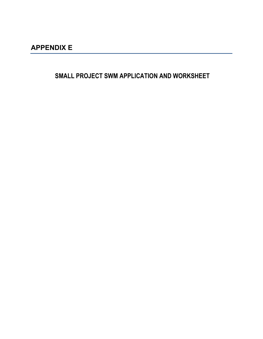<span id="page-60-0"></span>**SMALL PROJECT SWM APPLICATION AND WORKSHEET**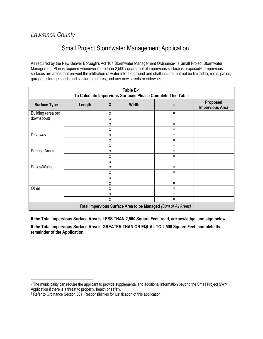# *Lawrence County*

# Small Project Stormwater Management Application

As required by the New Beaver Borough's Act 167 Stormwater Management Ordinance<sup>2</sup>, a Small Project Stormwater Management Plan is required whenever more than 2,500 square feet of impervious surface is proposed<sup>3</sup>. Impervious surfaces are areas that prevent the infiltration of water into the ground and shall include, but not be limited to, roofs, patios, garages, storage sheds and similar structures, and any new streets or sidewalks.

| Table E-1<br>To Calculate Impervious Surfaces Please Complete This Table |        |                  |              |          |                                    |
|--------------------------------------------------------------------------|--------|------------------|--------------|----------|------------------------------------|
| <b>Surface Type</b>                                                      | Length | $\boldsymbol{X}$ | <b>Width</b> | Ξ        | Proposed<br><b>Impervious Area</b> |
| Building (area per                                                       |        | X                |              | Ξ        |                                    |
| downspout)                                                               |        | X                |              | $=$      |                                    |
|                                                                          |        | X                |              | Ξ        |                                    |
|                                                                          |        | X                |              | $=$      |                                    |
| Driveway                                                                 |        | X                |              | $=$      |                                    |
|                                                                          |        | X                |              | $=$      |                                    |
|                                                                          |        | X                |              | $\equiv$ |                                    |
| Parking Areas                                                            |        | X                |              | Ξ        |                                    |
|                                                                          |        | X                |              | $=$      |                                    |
|                                                                          |        | X                |              | Ξ        |                                    |
| Patios/Walks                                                             |        | X                |              | $=$      |                                    |
|                                                                          |        | X                |              | $=$      |                                    |
|                                                                          |        | X                |              | $=$      |                                    |
|                                                                          |        | x                |              | $=$      |                                    |
| Other                                                                    |        | X                |              | $=$      |                                    |
|                                                                          |        | x                |              | $=$      |                                    |
|                                                                          |        | X                |              | $=$      |                                    |
| Total Impervious Surface Area to be Managed (Sum of All Areas)           |        |                  |              |          |                                    |

**If the Total Impervious Surface Area is LESS THAN 2,500 Square Feet, read, acknowledge, and sign below. If the Total Impervious Surface Area is GREATER THAN OR EQUAL TO 2,500 Square Feet, complete the remainder of the Application.**

<span id="page-61-0"></span><sup>&</sup>lt;sup>2</sup> The municipality can require the applicant to provide supplemental and additional information beyond the Small Project SWM Application if there is a threat to property, health or safety.

<span id="page-61-1"></span><sup>&</sup>lt;sup>3</sup> Refer to Ordinance Section 501, Responsibilities for justification of this application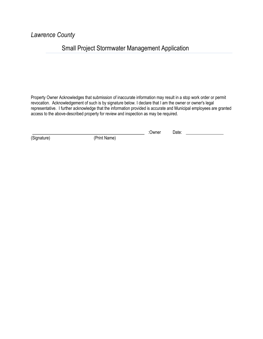*Lawrence County*

# Small Project Stormwater Management Application

Property Owner Acknowledges that submission of inaccurate information may result in a stop work order or permit revocation. Acknowledgement of such is by signature below. I declare that I am the owner or owner's legal representative. I further acknowledge that the information provided is accurate and Municipal employees are granted access to the above-described property for review and inspection as may be required.

:Owner Date:

(Signature) (Print Name)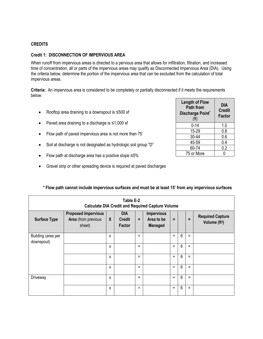#### **CREDITS**

#### **Credit 1: DISCONNECTION OF IMPERVIOUS AREA**

When runoff from impervious areas is directed to a pervious area that allows for infiltration, filtration, and increased time of concentration, all or parts of the impervious areas may qualify as Disconnected Impervious Area (DIA). Using the criteria below, determine the portion of the impervious area that can be excluded from the calculation of total impervious areas.

**Criteria:** An impervious area is considered to be completely or partially disconnected if it meets the requirements below:

- Rooftop area draining to a downspout is ≤500 sf
- Paved area draining to a discharge is ≤1,000 sf
- Flow path of paved impervious area is not more than 75'
- Soil at discharge is not designated as hydrologic soil group "D"
- Flow path at discharge area has a positive slope ≤5%
- Gravel strip or other spreading device is required at paved discharges

| <b>Length of Flow</b><br><b>Path from</b><br>Discharge Point*<br>(f <sup>t</sup> ) | DIA<br><b>Credit</b><br><b>Factor</b> |  |  |  |  |
|------------------------------------------------------------------------------------|---------------------------------------|--|--|--|--|
| $0 - 14$                                                                           | 1.0                                   |  |  |  |  |
| 15-29                                                                              | 0.8                                   |  |  |  |  |
| 30-44                                                                              | 0.6                                   |  |  |  |  |
| 45-59                                                                              | 0.4                                   |  |  |  |  |
| 60-74                                                                              | 0.2                                   |  |  |  |  |
| 75 or More                                                                         | በ                                     |  |  |  |  |

| Table E-2<br><b>Calculate DIA Credit and Required Capture Volume</b> |                                                             |              |                                       |     |                                                   |   |                |          |                                                      |
|----------------------------------------------------------------------|-------------------------------------------------------------|--------------|---------------------------------------|-----|---------------------------------------------------|---|----------------|----------|------------------------------------------------------|
| <b>Surface Type</b>                                                  | <b>Proposed Impervious</b><br>Area (from previous<br>sheet) | $\mathsf{X}$ | <b>DIA</b><br><b>Credit</b><br>Factor | $=$ | <b>Impervious</b><br>Area to be<br><b>Managed</b> | ÷ |                | $\equiv$ | <b>Required Capture</b><br>Volume (ft <sup>3</sup> ) |
| Building (area per<br>downspout)                                     |                                                             | X            |                                       | Ξ   |                                                   | ÷ | 6              | $\equiv$ |                                                      |
|                                                                      |                                                             | X            |                                       | $=$ |                                                   | ÷ | $6\phantom{1}$ | $\equiv$ |                                                      |
|                                                                      |                                                             | X            |                                       | $=$ |                                                   | ÷ | $6\phantom{1}$ | $\equiv$ |                                                      |
|                                                                      |                                                             | X            |                                       | $=$ |                                                   | ÷ | $6\phantom{1}$ | Ξ        |                                                      |
| Driveway                                                             |                                                             | X            |                                       | Ξ   |                                                   | ÷ | 6              | $\equiv$ |                                                      |
|                                                                      |                                                             | X            |                                       | Ξ   |                                                   | ÷ | 6              | Ξ        |                                                      |

#### **\* Flow path cannot include impervious surfaces and must be at least 15' from any impervious surfaces**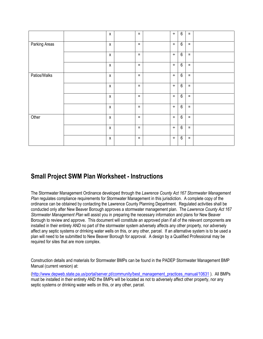|               | X                  | $\equiv$ | $\div$ | $6\phantom{1}6$ | $\equiv$ |  |
|---------------|--------------------|----------|--------|-----------------|----------|--|
| Parking Areas | $\pmb{\mathsf{X}}$ | $\equiv$ | $\div$ | $6\phantom{1}6$ | $\equiv$ |  |
|               | X                  | $\equiv$ | $\div$ | $6\phantom{1}$  | $\equiv$ |  |
|               | $\pmb{\chi}$       | $\equiv$ | $\div$ | $6\phantom{1}$  | $\equiv$ |  |
| Patios/Walks  | Х                  | $\equiv$ | $\div$ | $6\phantom{1}6$ | $\equiv$ |  |
|               | X                  | $\equiv$ | $\div$ | $6\,$           | $\equiv$ |  |
|               | $\pmb{\chi}$       | $\equiv$ | $\div$ | $6\phantom{1}6$ | $\equiv$ |  |
|               | $\pmb{\mathsf{X}}$ | $\equiv$ | $\div$ | $6\phantom{1}6$ | $\equiv$ |  |
| Other         | X                  | $\equiv$ | $\div$ | $6\,$           | $\equiv$ |  |
|               | $\pmb{\mathsf{X}}$ | $=$      | $\div$ | $6\phantom{1}6$ | $\equiv$ |  |
|               | X                  | $\equiv$ | $\div$ | $6\phantom{1}$  | $\equiv$ |  |

# **Small Project SWM Plan Worksheet - Instructions**

The Stormwater Management Ordinance developed through the *Lawrence County Act 167 Stormwater Management Plan* regulates compliance requirements for Stormwater Management in this jurisdiction. A complete copy of the ordinance can be obtained by contacting the Lawrence County Planning Department. Regulated activities shall be conducted only after New Beaver Borough approves a stormwater management plan. The *Lawrence County Act 167 Stormwater Management Plan* will assist you in preparing the necessary information and plans for New Beaver Borough to review and approve. This document will constitute an approved plan if all of the relevant components are installed in their entirety AND no part of the stormwater system adversely affects any other property, nor adversely affect any septic systems or drinking water wells on this, or any other, parcel. If an alternative system is to be used a plan will need to be submitted to New Beaver Borough for approval. A design by a Qualified Professional may be required for sites that are more complex.

Construction details and materials for Stormwater BMPs can be found in the PADEP Stormwater Management BMP Manual (current version) at:

[\(http://www.depweb.state.pa.us/portal/server.pt/community/best\\_management\\_practices\\_manual/10631](http://www.depweb.state.pa.us/portal/server.pt/community/best_management_practices_manual/10631) ). All BMPs must be installed in their entirety AND the BMPs will be located as not to adversely affect other property, nor any septic systems or drinking water wells on this, or any other, parcel.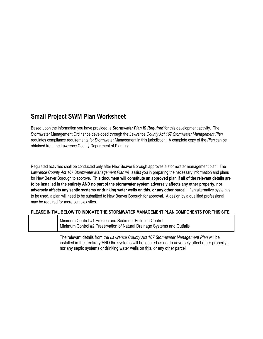# **Small Project SWM Plan Worksheet**

Based upon the information you have provided, a *Stormwater Plan IS Required* for this development activity. The Stormwater Management Ordinance developed through the *Lawrence County Act 167 Stormwater Management Plan* regulates compliance requirements for Stormwater Management in this jurisdiction. A complete copy of the *Plan* can be obtained from the Lawrence County Department of Planning.

Regulated activities shall be conducted only after New Beaver Borough approves a stormwater management plan. The *Lawrence County Act 167 Stormwater Management Plan* will assist you in preparing the necessary information and plans for New Beaver Borough to approve. **This document will constitute an approved plan if all of the relevant details are to be installed in the entirety AND no part of the stormwater system adversely affects any other property, nor adversely affects any septic systems or drinking water wells on this, or any other parcel.** If an alternative system is to be used, a plan will need to be submitted to New Beaver Borough for approval. A design by a qualified professional may be required for more complex sites.

#### **PLEASE INITIAL BELOW TO INDICATE THE STORMWATER MANAGEMENT PLAN COMPONENTS FOR THIS SITE**

| Minimum Control #1 Erosion and Sediment Pollution Control                |
|--------------------------------------------------------------------------|
| Minimum Control #2 Preservation of Natural Drainage Systems and Outfalls |

The relevant details from the *Lawrence County Act 167 Stormwater Management Plan* will be installed in their entirety AND the systems will be located as not to adversely affect other property, nor any septic systems or drinking water wells on this, or any other parcel.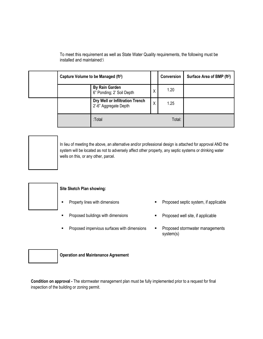| Capture Volume to be Managed (ft <sup>3</sup> ) |                                                          |   | Conversion | Surface Area of BMP (ft <sup>2</sup> ) |
|-------------------------------------------------|----------------------------------------------------------|---|------------|----------------------------------------|
|                                                 | <b>By Rain Garden</b><br>6" Ponding; 2' Soil Depth       | X | 1.20       |                                        |
|                                                 | Dry Well or Infiltration Trench<br>2'-6" Aggregate Depth | X | 1.25       |                                        |
|                                                 | :Total                                                   |   | Total:     |                                        |

To meet this requirement as well as State Water Quality requirements, the following must be installed and maintained:\

In lieu of meeting the above, an alternative and/or professional design is attached for approval AND the system will be located as not to adversely affect other property, any septic systems or drinking water wells on this, or any other, parcel.



#### **Site Sketch Plan showing:**

- 
- Proposed buildings with dimensions Proposed well site, if applicable
- Proposed impervious surfaces with dimensions **F** Proposed stormwater managements
- Property lines with dimensions **Exercise 2** Proposed septic system, if applicable
	-
	- system(s)



**Operation and Maintenance Agreement**

**Condition on approval -** The stormwater management plan must be fully implemented prior to a request for final inspection of the building or zoning permit.